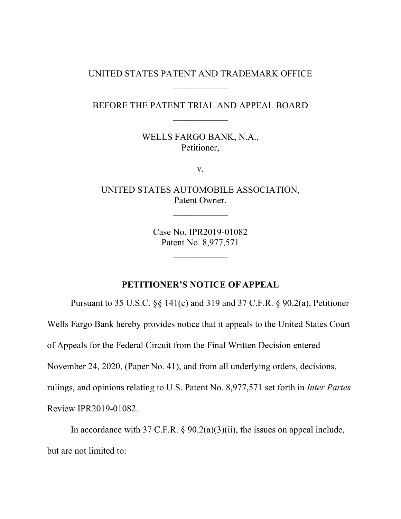#### UNITED STATES PATENT AND TRADEMARK OFFICE

# BEFORE THE PATENT TRIAL AND APPEAL BOARD  $\frac{1}{2}$

WELLS FARGO BANK, N.A., Petitioner,

v.

UNITED STATES AUTOMOBILE ASSOCIATION, Patent Owner.

 $\frac{1}{2}$ 

Case No. IPR2019-01082 Patent No. 8,977,571

 $\mathcal{L}_\text{max}$ 

#### **PETITIONER'S NOTICE OF APPEAL**

Pursuant to 35 U.S.C. §§ 141(c) and 319 and 37 C.F.R. § 90.2(a), Petitioner Wells Fargo Bank hereby provides notice that it appeals to the United States Court of Appeals for the Federal Circuit from the Final Written Decision entered November 24, 2020, (Paper No. 41), and from all underlying orders, decisions, rulings, and opinions relating to U.S. Patent No. 8,977,571 set forth in *Inter Partes* Review IPR2019-01082.

In accordance with 37 C.F.R.  $\S 90.2(a)(3)(ii)$ , the issues on appeal include, but are not limited to: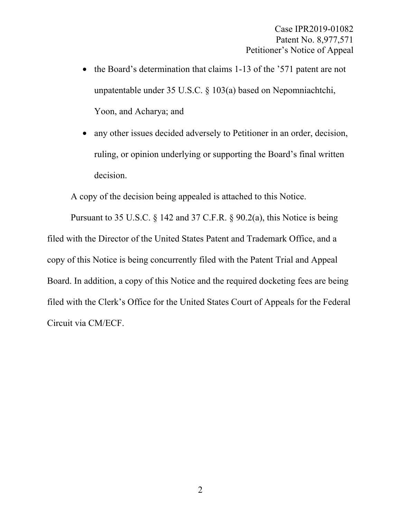- the Board's determination that claims 1-13 of the '571 patent are not unpatentable under 35 U.S.C. § 103(a) based on Nepomniachtchi, Yoon, and Acharya; and
- any other issues decided adversely to Petitioner in an order, decision, ruling, or opinion underlying or supporting the Board's final written decision.

A copy of the decision being appealed is attached to this Notice.

Pursuant to 35 U.S.C. § 142 and 37 C.F.R. § 90.2(a), this Notice is being filed with the Director of the United States Patent and Trademark Office, and a copy of this Notice is being concurrently filed with the Patent Trial and Appeal Board. In addition, a copy of this Notice and the required docketing fees are being filed with the Clerk's Office for the United States Court of Appeals for the Federal Circuit via CM/ECF.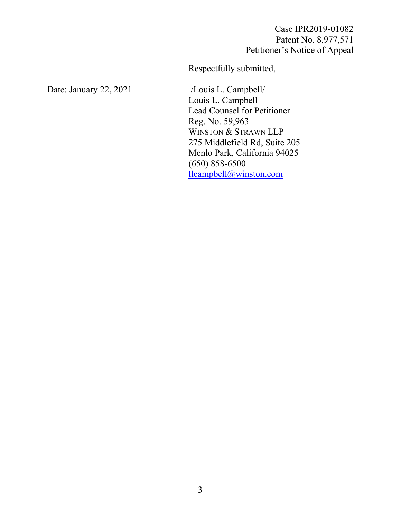Case IPR2019-01082 Patent No. 8,977,571 Petitioner's Notice of Appeal

Respectfully submitted,

Date: January 22, 2021 /Louis L. Campbell/

Louis L. Campbell Lead Counsel for Petitioner Reg. No. 59,963 WINSTON & STRAWN LLP 275 Middlefield Rd, Suite 205 Menlo Park, California 94025 (650) 858-6500 llcampbell@winston.com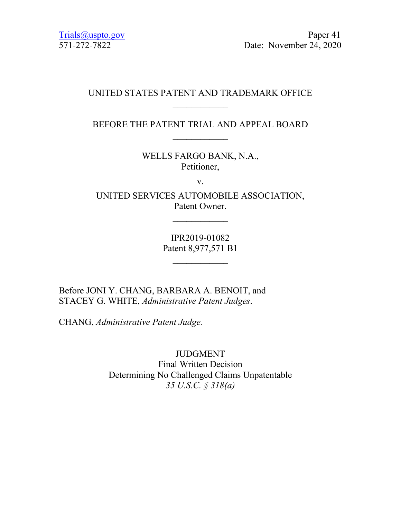[Trials@uspto.gov](mailto:Trials@uspto.gov) Paper 41 571-272-7822 Date: November 24, 2020

# UNITED STATES PATENT AND TRADEMARK OFFICE  $\overline{\phantom{a}}$

# BEFORE THE PATENT TRIAL AND APPEAL BOARD  $\overline{\phantom{a}}$

WELLS FARGO BANK, N.A., Petitioner,

v.

UNITED SERVICES AUTOMOBILE ASSOCIATION, Patent Owner.

 $\overline{\phantom{a}}$ 

IPR2019-01082 Patent 8,977,571 B1

 $\overline{\phantom{a}}$ 

Before JONI Y. CHANG, BARBARA A. BENOIT, and STACEY G. WHITE, *Administrative Patent Judges*.

CHANG, *Administrative Patent Judge.*

JUDGMENT Final Written Decision Determining No Challenged Claims Unpatentable *35 U.S.C. § 318(a)*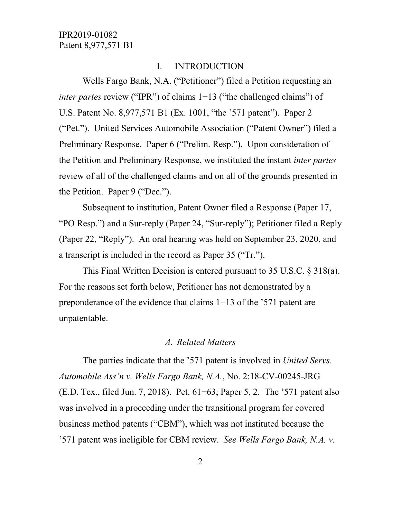#### I. INTRODUCTION

Wells Fargo Bank, N.A. ("Petitioner") filed a Petition requesting an *inter partes* review ("IPR") of claims 1−13 ("the challenged claims") of U.S. Patent No. 8,977,571 B1 (Ex. 1001, "the '571 patent"). Paper 2 ("Pet."). United Services Automobile Association ("Patent Owner") filed a Preliminary Response. Paper 6 ("Prelim. Resp."). Upon consideration of the Petition and Preliminary Response, we instituted the instant *inter partes* review of all of the challenged claims and on all of the grounds presented in the Petition. Paper 9 ("Dec.").

Subsequent to institution, Patent Owner filed a Response (Paper 17, "PO Resp.") and a Sur-reply (Paper 24, "Sur-reply"); Petitioner filed a Reply (Paper 22, "Reply"). An oral hearing was held on September 23, 2020, and a transcript is included in the record as Paper 35 ("Tr.").

This Final Written Decision is entered pursuant to 35 U.S.C. § 318(a). For the reasons set forth below, Petitioner has not demonstrated by a preponderance of the evidence that claims 1−13 of the '571 patent are unpatentable.

#### *A. Related Matters*

The parties indicate that the '571 patent is involved in *United Servs. Automobile Ass'n v. Wells Fargo Bank, N.A.*, No. 2:18-CV-00245-JRG (E.D. Tex., filed Jun. 7, 2018). Pet. 61−63; Paper 5, 2. The '571 patent also was involved in a proceeding under the transitional program for covered business method patents ("CBM"), which was not instituted because the '571 patent was ineligible for CBM review. *See Wells Fargo Bank, N.A. v.*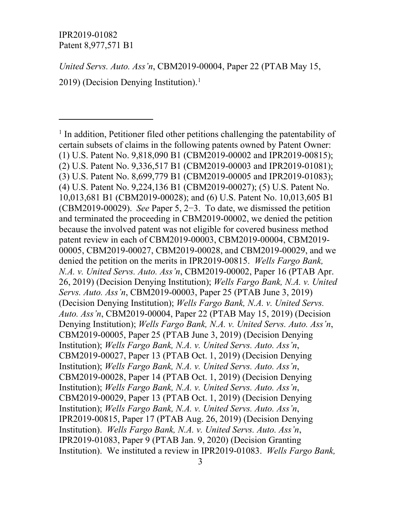$\overline{a}$ 

*United Servs. Auto. Ass'n*, CBM2019-00004, Paper 22 (PTAB May 15,

20[1](#page-5-0)9) (Decision Denying Institution).<sup>1</sup>

<span id="page-5-0"></span> $<sup>1</sup>$  In addition, Petitioner filed other petitions challenging the patentability of</sup> certain subsets of claims in the following patents owned by Patent Owner: (1) U.S. Patent No. 9,818,090 B1 (CBM2019-00002 and IPR2019-00815); (2) U.S. Patent No. 9,336,517 B1 (CBM2019-00003 and IPR2019-01081); (3) U.S. Patent No. 8,699,779 B1 (CBM2019-00005 and IPR2019-01083); (4) U.S. Patent No. 9,224,136 B1 (CBM2019-00027); (5) U.S. Patent No. 10,013,681 B1 (CBM2019-00028); and (6) U.S. Patent No. 10,013,605 B1 (CBM2019-00029). *See* Paper 5, 2−3. To date, we dismissed the petition and terminated the proceeding in CBM2019-00002, we denied the petition because the involved patent was not eligible for covered business method patent review in each of CBM2019-00003, CBM2019-00004, CBM2019- 00005, CBM2019-00027, CBM2019-00028, and CBM2019-00029, and we denied the petition on the merits in IPR2019-00815. *Wells Fargo Bank, N.A. v. United Servs. Auto. Ass'n*, CBM2019-00002, Paper 16 (PTAB Apr. 26, 2019) (Decision Denying Institution); *Wells Fargo Bank, N.A. v. United Servs. Auto. Ass'n*, CBM2019-00003, Paper 25 (PTAB June 3, 2019) (Decision Denying Institution); *Wells Fargo Bank, N.A. v. United Servs. Auto. Ass'n*, CBM2019-00004, Paper 22 (PTAB May 15, 2019) (Decision Denying Institution); *Wells Fargo Bank, N.A. v. United Servs. Auto. Ass'n*, CBM2019-00005, Paper 25 (PTAB June 3, 2019) (Decision Denying Institution); *Wells Fargo Bank, N.A. v. United Servs. Auto. Ass'n*, CBM2019-00027, Paper 13 (PTAB Oct. 1, 2019) (Decision Denying Institution); *Wells Fargo Bank, N.A. v. United Servs. Auto. Ass'n*, CBM2019-00028, Paper 14 (PTAB Oct. 1, 2019) (Decision Denying Institution); *Wells Fargo Bank, N.A. v. United Servs. Auto. Ass'n*, CBM2019-00029, Paper 13 (PTAB Oct. 1, 2019) (Decision Denying Institution); *Wells Fargo Bank, N.A. v. United Servs. Auto. Ass'n*, IPR2019-00815, Paper 17 (PTAB Aug. 26, 2019) (Decision Denying Institution). *Wells Fargo Bank, N.A. v. United Servs. Auto. Ass'n*, IPR2019-01083, Paper 9 (PTAB Jan. 9, 2020) (Decision Granting Institution). We instituted a review in IPR2019-01083. *Wells Fargo Bank,*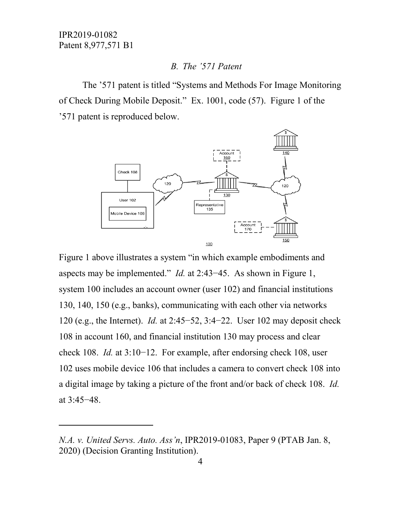$\overline{a}$ 

#### *B. The '571 Patent*

The '571 patent is titled "Systems and Methods For Image Monitoring of Check During Mobile Deposit." Ex. 1001, code (57). Figure 1 of the '571 patent is reproduced below.



Figure 1 above illustrates a system "in which example embodiments and aspects may be implemented." *Id.* at 2:43−45. As shown in Figure 1, system 100 includes an account owner (user 102) and financial institutions 130, 140, 150 (e.g., banks), communicating with each other via networks 120 (e.g., the Internet). *Id.* at 2:45−52, 3:4−22. User 102 may deposit check 108 in account 160, and financial institution 130 may process and clear check 108. *Id.* at 3:10−12. For example, after endorsing check 108, user 102 uses mobile device 106 that includes a camera to convert check 108 into a digital image by taking a picture of the front and/or back of check 108. *Id.* at 3:45−48.

*N.A. v. United Servs. Auto. Ass'n*, IPR2019-01083, Paper 9 (PTAB Jan. 8, 2020) (Decision Granting Institution).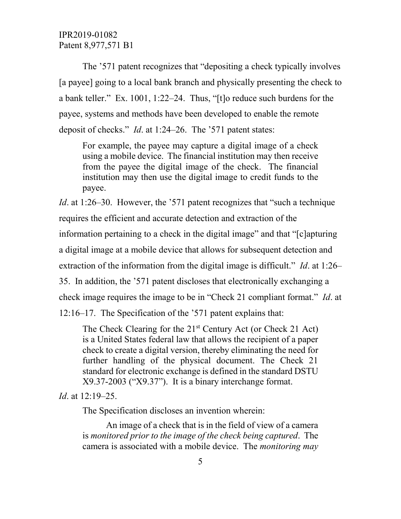The '571 patent recognizes that "depositing a check typically involves [a payee] going to a local bank branch and physically presenting the check to a bank teller." Ex. 1001, 1:22–24. Thus, "[t]o reduce such burdens for the payee, systems and methods have been developed to enable the remote deposit of checks." *Id*. at 1:24–26. The '571 patent states:

For example, the payee may capture a digital image of a check using a mobile device. The financial institution may then receive from the payee the digital image of the check. The financial institution may then use the digital image to credit funds to the payee.

*Id*. at 1:26–30. However, the '571 patent recognizes that "such a technique requires the efficient and accurate detection and extraction of the information pertaining to a check in the digital image" and that "[c]apturing a digital image at a mobile device that allows for subsequent detection and extraction of the information from the digital image is difficult." *Id*. at 1:26– 35. In addition, the '571 patent discloses that electronically exchanging a check image requires the image to be in "Check 21 compliant format." *Id*. at

12:16–17. The Specification of the '571 patent explains that:

The Check Clearing for the  $21<sup>st</sup>$  Century Act (or Check 21 Act) is a United States federal law that allows the recipient of a paper check to create a digital version, thereby eliminating the need for further handling of the physical document. The Check 21 standard for electronic exchange is defined in the standard DSTU X9.37-2003 ("X9.37"). It is a binary interchange format.

*Id*. at 12:19–25.

The Specification discloses an invention wherein:

An image of a check that is in the field of view of a camera is *monitored prior to the image of the check being captured*. The camera is associated with a mobile device. The *monitoring may*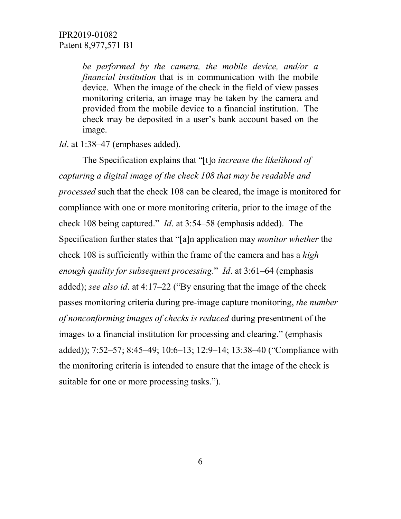*be performed by the camera, the mobile device, and/or a financial institution* that is in communication with the mobile device. When the image of the check in the field of view passes monitoring criteria, an image may be taken by the camera and provided from the mobile device to a financial institution. The check may be deposited in a user's bank account based on the image.

*Id.* at 1:38–47 (emphases added).

The Specification explains that "[t]o *increase the likelihood of capturing a digital image of the check 108 that may be readable and processed* such that the check 108 can be cleared, the image is monitored for compliance with one or more monitoring criteria, prior to the image of the check 108 being captured." *Id*. at 3:54–58 (emphasis added). The Specification further states that "[a]n application may *monitor whether* the check 108 is sufficiently within the frame of the camera and has a *high enough quality for subsequent processing*." *Id*. at 3:61–64 (emphasis added); *see also id*. at 4:17–22 ("By ensuring that the image of the check passes monitoring criteria during pre-image capture monitoring, *the number of nonconforming images of checks is reduced* during presentment of the images to a financial institution for processing and clearing." (emphasis added)); 7:52–57; 8:45–49; 10:6–13; 12:9–14; 13:38–40 ("Compliance with the monitoring criteria is intended to ensure that the image of the check is suitable for one or more processing tasks.").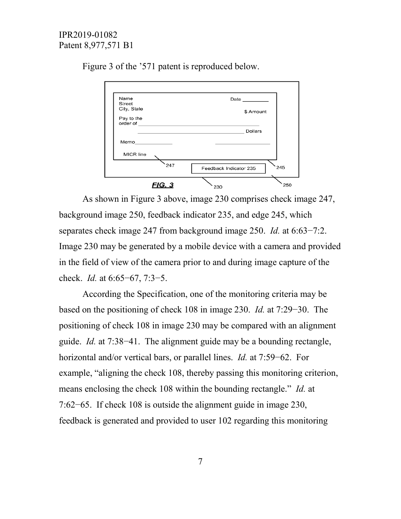

Figure 3 of the '571 patent is reproduced below.

As shown in Figure 3 above, image 230 comprises check image 247, background image 250, feedback indicator 235, and edge 245, which separates check image 247 from background image 250. *Id.* at 6:63−7:2. Image 230 may be generated by a mobile device with a camera and provided in the field of view of the camera prior to and during image capture of the check. *Id.* at 6:65−67, 7:3−5.

According the Specification, one of the monitoring criteria may be based on the positioning of check 108 in image 230. *Id.* at 7:29−30. The positioning of check 108 in image 230 may be compared with an alignment guide. *Id.* at 7:38−41. The alignment guide may be a bounding rectangle, horizontal and/or vertical bars, or parallel lines. *Id.* at 7:59−62. For example, "aligning the check 108, thereby passing this monitoring criterion, means enclosing the check 108 within the bounding rectangle." *Id.* at 7:62−65. If check 108 is outside the alignment guide in image 230, feedback is generated and provided to user 102 regarding this monitoring

7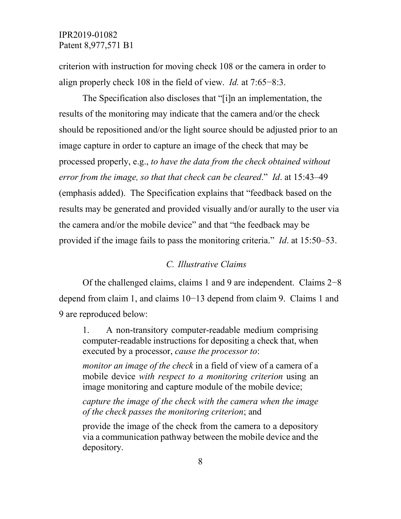criterion with instruction for moving check 108 or the camera in order to align properly check 108 in the field of view. *Id.* at 7:65−8:3.

The Specification also discloses that "[i]n an implementation, the results of the monitoring may indicate that the camera and/or the check should be repositioned and/or the light source should be adjusted prior to an image capture in order to capture an image of the check that may be processed properly, e.g., *to have the data from the check obtained without error from the image, so that that check can be cleared*." *Id*. at 15:43–49 (emphasis added). The Specification explains that "feedback based on the results may be generated and provided visually and/or aurally to the user via the camera and/or the mobile device" and that "the feedback may be provided if the image fails to pass the monitoring criteria." *Id*. at 15:50–53.

#### *C. Illustrative Claims*

Of the challenged claims, claims 1 and 9 are independent. Claims 2−8 depend from claim 1, and claims 10−13 depend from claim 9. Claims 1 and 9 are reproduced below:

1. A non-transitory computer-readable medium comprising computer-readable instructions for depositing a check that, when executed by a processor, *cause the processor to*:

*monitor an image of the check* in a field of view of a camera of a mobile device *with respect to a monitoring criterion* using an image monitoring and capture module of the mobile device;

*capture the image of the check with the camera when the image of the check passes the monitoring criterion*; and

provide the image of the check from the camera to a depository via a communication pathway between the mobile device and the depository.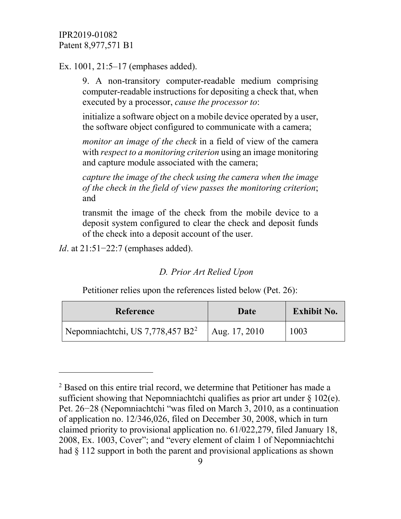Ex. 1001, 21:5–17 (emphases added).

9. A non-transitory computer-readable medium comprising computer-readable instructions for depositing a check that, when executed by a processor, *cause the processor to*:

initialize a software object on a mobile device operated by a user, the software object configured to communicate with a camera;

*monitor an image of the check* in a field of view of the camera with *respect to a monitoring criterion* using an image monitoring and capture module associated with the camera;

*capture the image of the check using the camera when the image of the check in the field of view passes the monitoring criterion*; and

transmit the image of the check from the mobile device to a deposit system configured to clear the check and deposit funds of the check into a deposit account of the user.

*Id*. at 21:51–22:7 (emphases added).

 $\overline{a}$ 

#### *D. Prior Art Relied Upon*

Petitioner relies upon the references listed below (Pet. 26):

| <b>Reference</b>                                             | Date | <b>Exhibit No.</b> |
|--------------------------------------------------------------|------|--------------------|
| Nepomniachtchi, US 7,778,457 B2 <sup>2</sup>   Aug. 17, 2010 |      | 1003               |

<span id="page-11-0"></span><sup>&</sup>lt;sup>2</sup> Based on this entire trial record, we determine that Petitioner has made a sufficient showing that Nepomniachtchi qualifies as prior art under  $\S 102(e)$ . Pet. 26−28 (Nepomniachtchi "was filed on March 3, 2010, as a continuation of application no. 12/346,026, filed on December 30, 2008, which in turn claimed priority to provisional application no. 61/022,279, filed January 18, 2008, Ex. 1003, Cover"; and "every element of claim 1 of Nepomniachtchi had  $\S 112$  support in both the parent and provisional applications as shown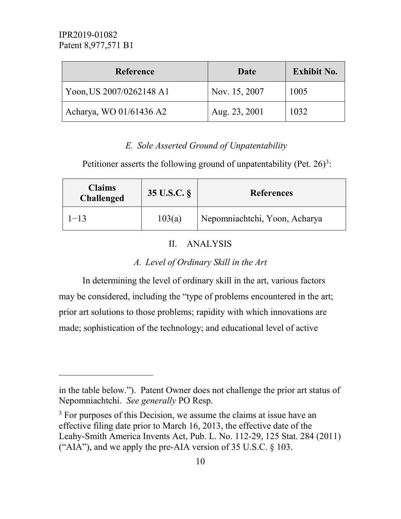$\overline{a}$ 

| <b>Reference</b>         | Date          | <b>Exhibit No.</b> |
|--------------------------|---------------|--------------------|
| Yoon, US 2007/0262148 A1 | Nov. 15, 2007 | 1005               |
| Acharya, WO 01/61436 A2  | Aug. 23, 2001 | 1032               |

# *E. Sole Asserted Ground of Unpatentability*

Petitioner asserts the following ground of unpatentability (Pet.  $26$ )<sup>[3](#page-12-0)</sup>:

| <b>Claims</b><br><b>Challenged</b> | 35 U.S.C. § | <b>References</b>             |
|------------------------------------|-------------|-------------------------------|
| $1 - 13$                           | 103(a)      | Nepomniachtchi, Yoon, Acharya |

# II. ANALYSIS

# *A. Level of Ordinary Skill in the Art*

In determining the level of ordinary skill in the art, various factors may be considered, including the "type of problems encountered in the art; prior art solutions to those problems; rapidity with which innovations are made; sophistication of the technology; and educational level of active

in the table below."). Patent Owner does not challenge the prior art status of Nepomniachtchi. *See generally* PO Resp.

<span id="page-12-0"></span> $3$  For purposes of this Decision, we assume the claims at issue have an effective filing date prior to March 16, 2013, the effective date of the Leahy-Smith America Invents Act, Pub. L. No. 112-29, 125 Stat. 284 (2011) ("AIA"), and we apply the pre-AIA version of  $35$  U.S.C.  $\S$  103.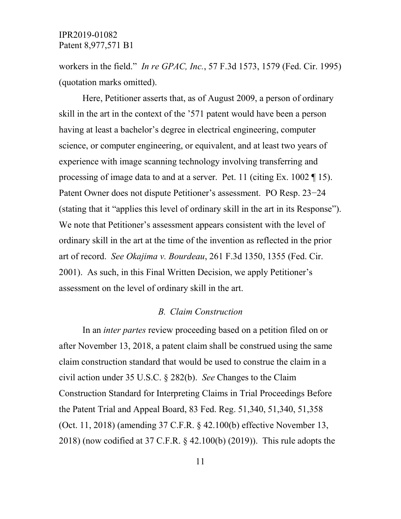workers in the field." *In re GPAC, Inc.*, 57 F.3d 1573, 1579 (Fed. Cir. 1995) (quotation marks omitted).

Here, Petitioner asserts that, as of August 2009, a person of ordinary skill in the art in the context of the '571 patent would have been a person having at least a bachelor's degree in electrical engineering, computer science, or computer engineering, or equivalent, and at least two years of experience with image scanning technology involving transferring and processing of image data to and at a server. Pet. 11 (citing Ex. 1002 ¶ 15). Patent Owner does not dispute Petitioner's assessment. PO Resp. 23−24 (stating that it "applies this level of ordinary skill in the art in its Response"). We note that Petitioner's assessment appears consistent with the level of ordinary skill in the art at the time of the invention as reflected in the prior art of record. *See Okajima v. Bourdeau*, 261 F.3d 1350, 1355 (Fed. Cir. 2001). As such, in this Final Written Decision, we apply Petitioner's assessment on the level of ordinary skill in the art.

#### *B. Claim Construction*

In an *inter partes* review proceeding based on a petition filed on or after November 13, 2018, a patent claim shall be construed using the same claim construction standard that would be used to construe the claim in a civil action under 35 U.S.C. § 282(b). *See* Changes to the Claim Construction Standard for Interpreting Claims in Trial Proceedings Before the Patent Trial and Appeal Board, 83 Fed. Reg. 51,340, 51,340, 51,358 (Oct. 11, 2018) (amending 37 C.F.R. § 42.100(b) effective November 13, 2018) (now codified at 37 C.F.R. § 42.100(b) (2019)). This rule adopts the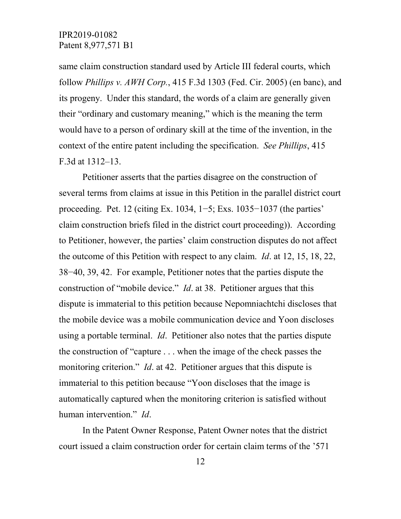same claim construction standard used by Article III federal courts, which follow *Phillips v. AWH Corp.*, 415 F.3d 1303 (Fed. Cir. 2005) (en banc), and its progeny. Under this standard, the words of a claim are generally given their "ordinary and customary meaning," which is the meaning the term would have to a person of ordinary skill at the time of the invention, in the context of the entire patent including the specification. *See Phillips*, 415 F.3d at 1312–13.

Petitioner asserts that the parties disagree on the construction of several terms from claims at issue in this Petition in the parallel district court proceeding. Pet. 12 (citing Ex. 1034, 1−5; Exs. 1035−1037 (the parties' claim construction briefs filed in the district court proceeding)). According to Petitioner, however, the parties' claim construction disputes do not affect the outcome of this Petition with respect to any claim. *Id*. at 12, 15, 18, 22, 38−40, 39, 42. For example, Petitioner notes that the parties dispute the construction of "mobile device." *Id*. at 38. Petitioner argues that this dispute is immaterial to this petition because Nepomniachtchi discloses that the mobile device was a mobile communication device and Yoon discloses using a portable terminal. *Id*. Petitioner also notes that the parties dispute the construction of "capture . . . when the image of the check passes the monitoring criterion." *Id*. at 42. Petitioner argues that this dispute is immaterial to this petition because "Yoon discloses that the image is automatically captured when the monitoring criterion is satisfied without human intervention." *Id*.

In the Patent Owner Response, Patent Owner notes that the district court issued a claim construction order for certain claim terms of the '571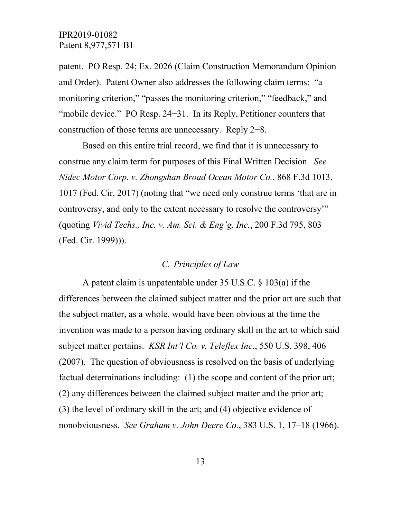patent. PO Resp. 24; Ex. 2026 (Claim Construction Memorandum Opinion and Order). Patent Owner also addresses the following claim terms: "a monitoring criterion," "passes the monitoring criterion," "feedback," and "mobile device." PO Resp. 24−31. In its Reply, Petitioner counters that construction of those terms are unnecessary. Reply 2−8.

Based on this entire trial record, we find that it is unnecessary to construe any claim term for purposes of this Final Written Decision. *See Nidec Motor Corp. v. Zhongshan Broad Ocean Motor Co.*, 868 F.3d 1013, 1017 (Fed. Cir. 2017) (noting that "we need only construe terms 'that are in controversy, and only to the extent necessary to resolve the controversy'" (quoting *Vivid Techs., Inc. v. Am. Sci. & Eng'g, Inc.*, 200 F.3d 795, 803 (Fed. Cir. 1999))).

# *C. Principles of Law*

A patent claim is unpatentable under 35 U.S.C. § 103(a) if the differences between the claimed subject matter and the prior art are such that the subject matter, as a whole, would have been obvious at the time the invention was made to a person having ordinary skill in the art to which said subject matter pertains. *KSR Int'l Co. v. Teleflex Inc*., 550 U.S. 398, 406 (2007). The question of obviousness is resolved on the basis of underlying factual determinations including: (1) the scope and content of the prior art; (2) any differences between the claimed subject matter and the prior art; (3) the level of ordinary skill in the art; and (4) objective evidence of nonobviousness. *See Graham v. John Deere Co.*, 383 U.S. 1, 17–18 (1966).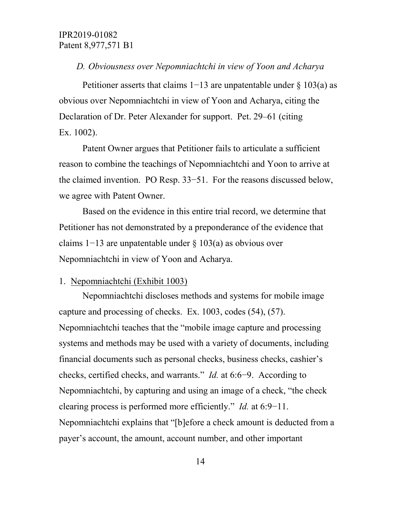#### *D. Obviousness over Nepomniachtchi in view of Yoon and Acharya*

Petitioner asserts that claims 1−13 are unpatentable under § 103(a) as obvious over Nepomniachtchi in view of Yoon and Acharya, citing the Declaration of Dr. Peter Alexander for support. Pet. 29–61 (citing Ex. 1002).

Patent Owner argues that Petitioner fails to articulate a sufficient reason to combine the teachings of Nepomniachtchi and Yoon to arrive at the claimed invention. PO Resp. 33−51. For the reasons discussed below, we agree with Patent Owner.

Based on the evidence in this entire trial record, we determine that Petitioner has not demonstrated by a preponderance of the evidence that claims 1−13 are unpatentable under § 103(a) as obvious over Nepomniachtchi in view of Yoon and Acharya.

#### 1. Nepomniachtchi (Exhibit 1003)

Nepomniachtchi discloses methods and systems for mobile image capture and processing of checks. Ex. 1003, codes (54), (57). Nepomniachtchi teaches that the "mobile image capture and processing systems and methods may be used with a variety of documents, including financial documents such as personal checks, business checks, cashier's checks, certified checks, and warrants." *Id.* at 6:6−9. According to Nepomniachtchi, by capturing and using an image of a check, "the check clearing process is performed more efficiently." *Id.* at 6:9−11. Nepomniachtchi explains that "[b]efore a check amount is deducted from a payer's account, the amount, account number, and other important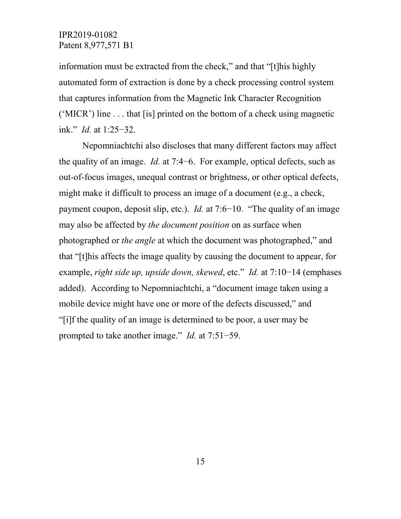information must be extracted from the check," and that "[t]his highly automated form of extraction is done by a check processing control system that captures information from the Magnetic Ink Character Recognition ('MICR') line . . . that [is] printed on the bottom of a check using magnetic ink." *Id.* at 1:25−32.

Nepomniachtchi also discloses that many different factors may affect the quality of an image. *Id.* at 7:4−6. For example, optical defects, such as out-of-focus images, unequal contrast or brightness, or other optical defects, might make it difficult to process an image of a document (e.g., a check, payment coupon, deposit slip, etc.). *Id.* at 7:6−10. "The quality of an image may also be affected by *the document position* on as surface when photographed or *the angle* at which the document was photographed," and that "[t]his affects the image quality by causing the document to appear, for example, *right side up, upside down, skewed*, etc." *Id.* at 7:10−14 (emphases added). According to Nepomniachtchi, a "document image taken using a mobile device might have one or more of the defects discussed," and "[i]f the quality of an image is determined to be poor, a user may be prompted to take another image." *Id.* at 7:51−59.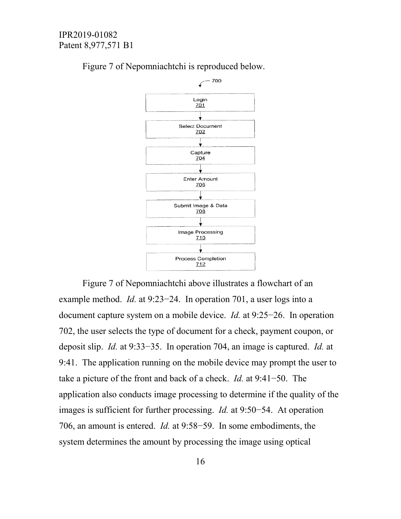

Figure 7 of Nepomniachtchi is reproduced below.

Figure 7 of Nepomniachtchi above illustrates a flowchart of an example method. *Id.* at 9:23−24. In operation 701, a user logs into a document capture system on a mobile device. *Id.* at 9:25−26. In operation 702, the user selects the type of document for a check, payment coupon, or deposit slip. *Id.* at 9:33−35. In operation 704, an image is captured. *Id.* at 9:41. The application running on the mobile device may prompt the user to take a picture of the front and back of a check. *Id.* at 9:41−50. The application also conducts image processing to determine if the quality of the images is sufficient for further processing. *Id.* at 9:50−54. At operation 706, an amount is entered. *Id.* at 9:58−59. In some embodiments, the system determines the amount by processing the image using optical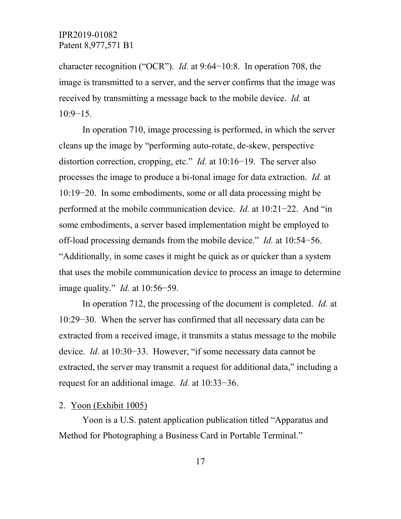character recognition ("OCR"). *Id.* at 9:64−10:8. In operation 708, the image is transmitted to a server, and the server confirms that the image was received by transmitting a message back to the mobile device. *Id.* at 10:9−15.

In operation 710, image processing is performed, in which the server cleans up the image by "performing auto-rotate, de-skew, perspective distortion correction, cropping, etc." *Id.* at 10:16−19. The server also processes the image to produce a bi-tonal image for data extraction. *Id.* at 10:19−20. In some embodiments, some or all data processing might be performed at the mobile communication device. *Id.* at 10:21−22. And "in some embodiments, a server based implementation might be employed to off-load processing demands from the mobile device." *Id.* at 10:54−56. "Additionally, in some cases it might be quick as or quicker than a system that uses the mobile communication device to process an image to determine image quality." *Id.* at 10:56−59.

In operation 712, the processing of the document is completed. *Id.* at 10:29−30. When the server has confirmed that all necessary data can be extracted from a received image, it transmits a status message to the mobile device. *Id.* at 10:30−33. However, "if some necessary data cannot be extracted, the server may transmit a request for additional data," including a request for an additional image. *Id.* at 10:33−36.

#### 2. Yoon (Exhibit 1005)

Yoon is a U.S. patent application publication titled "Apparatus and Method for Photographing a Business Card in Portable Terminal."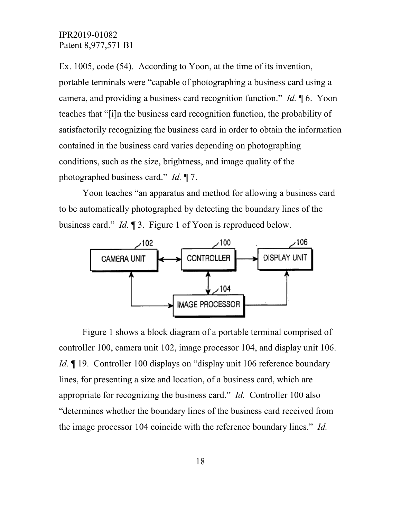Ex. 1005, code (54). According to Yoon, at the time of its invention, portable terminals were "capable of photographing a business card using a camera, and providing a business card recognition function." *Id.* ¶ 6. Yoon teaches that "[i]n the business card recognition function, the probability of satisfactorily recognizing the business card in order to obtain the information contained in the business card varies depending on photographing conditions, such as the size, brightness, and image quality of the photographed business card." *Id.* ¶ 7.

Yoon teaches "an apparatus and method for allowing a business card to be automatically photographed by detecting the boundary lines of the business card." *Id.* ¶ 3. Figure 1 of Yoon is reproduced below.



Figure 1 shows a block diagram of a portable terminal comprised of controller 100, camera unit 102, image processor 104, and display unit 106. *Id.* 19. Controller 100 displays on "display unit 106 reference boundary lines, for presenting a size and location, of a business card, which are appropriate for recognizing the business card." *Id.* Controller 100 also "determines whether the boundary lines of the business card received from the image processor 104 coincide with the reference boundary lines." *Id.*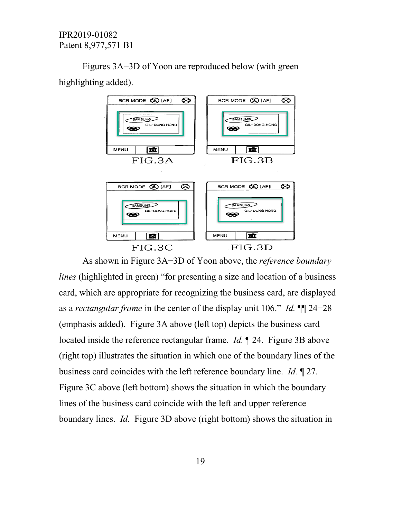Figures 3A−3D of Yoon are reproduced below (with green highlighting added).



As shown in Figure 3A−3D of Yoon above, the *reference boundary lines* (highlighted in green) "for presenting a size and location of a business card, which are appropriate for recognizing the business card, are displayed as a *rectangular frame* in the center of the display unit 106." *Id.* ¶¶ 24−28 (emphasis added). Figure 3A above (left top) depicts the business card located inside the reference rectangular frame. *Id.* ¶ 24. Figure 3B above (right top) illustrates the situation in which one of the boundary lines of the business card coincides with the left reference boundary line. *Id.* ¶ 27. Figure 3C above (left bottom) shows the situation in which the boundary lines of the business card coincide with the left and upper reference boundary lines. *Id.* Figure 3D above (right bottom) shows the situation in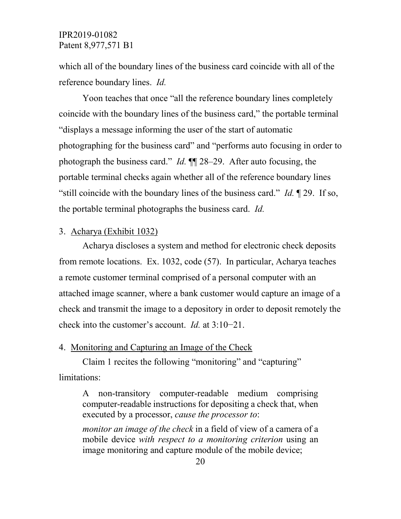which all of the boundary lines of the business card coincide with all of the reference boundary lines. *Id.*

Yoon teaches that once "all the reference boundary lines completely coincide with the boundary lines of the business card," the portable terminal "displays a message informing the user of the start of automatic photographing for the business card" and "performs auto focusing in order to photograph the business card." *Id.* ¶¶ 28–29. After auto focusing, the portable terminal checks again whether all of the reference boundary lines "still coincide with the boundary lines of the business card." *Id.* ¶ 29. If so, the portable terminal photographs the business card. *Id.*

#### 3. Acharya (Exhibit 1032)

Acharya discloses a system and method for electronic check deposits from remote locations. Ex. 1032, code (57). In particular, Acharya teaches a remote customer terminal comprised of a personal computer with an attached image scanner, where a bank customer would capture an image of a check and transmit the image to a depository in order to deposit remotely the check into the customer's account. *Id.* at 3:10−21.

# 4. Monitoring and Capturing an Image of the Check

Claim 1 recites the following "monitoring" and "capturing" limitations:

A non-transitory computer-readable medium comprising computer-readable instructions for depositing a check that, when executed by a processor, *cause the processor to*:

*monitor an image of the check* in a field of view of a camera of a mobile device *with respect to a monitoring criterion* using an image monitoring and capture module of the mobile device;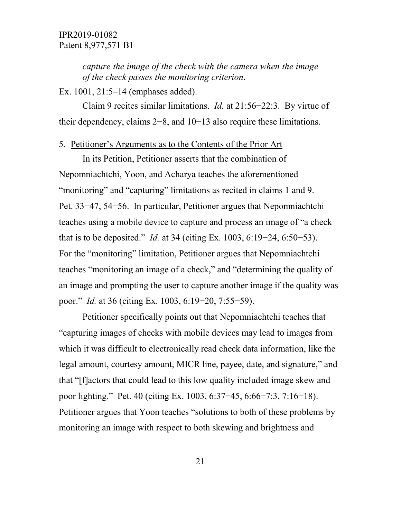*capture the image of the check with the camera when the image of the check passes the monitoring criterion*.

Ex. 1001, 21:5–14 (emphases added).

Claim 9 recites similar limitations. *Id.* at 21:56−22:3. By virtue of their dependency, claims 2−8, and 10−13 also require these limitations.

#### 5. Petitioner's Arguments as to the Contents of the Prior Art

In its Petition, Petitioner asserts that the combination of Nepomniachtchi, Yoon, and Acharya teaches the aforementioned "monitoring" and "capturing" limitations as recited in claims 1 and 9. Pet. 33−47, 54−56. In particular, Petitioner argues that Nepomniachtchi teaches using a mobile device to capture and process an image of "a check that is to be deposited." *Id.* at 34 (citing Ex. 1003, 6:19−24, 6:50−53). For the "monitoring" limitation, Petitioner argues that Nepomniachtchi teaches "monitoring an image of a check," and "determining the quality of an image and prompting the user to capture another image if the quality was poor." *Id.* at 36 (citing Ex. 1003, 6:19−20, 7:55−59).

Petitioner specifically points out that Nepomniachtchi teaches that "capturing images of checks with mobile devices may lead to images from which it was difficult to electronically read check data information, like the legal amount, courtesy amount, MICR line, payee, date, and signature," and that "[f]actors that could lead to this low quality included image skew and poor lighting." Pet. 40 (citing Ex. 1003, 6:37−45, 6:66−7:3, 7:16−18). Petitioner argues that Yoon teaches "solutions to both of these problems by monitoring an image with respect to both skewing and brightness and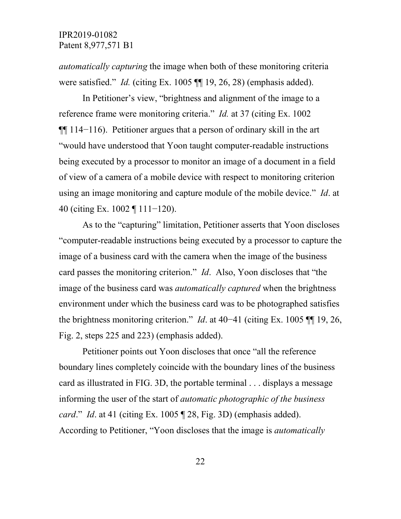*automatically capturing* the image when both of these monitoring criteria were satisfied." *Id.* (citing Ex. 1005 ¶¶ 19, 26, 28) (emphasis added).

In Petitioner's view, "brightness and alignment of the image to a reference frame were monitoring criteria." *Id.* at 37 (citing Ex. 1002 ¶¶ 114−116). Petitioner argues that a person of ordinary skill in the art "would have understood that Yoon taught computer-readable instructions being executed by a processor to monitor an image of a document in a field of view of a camera of a mobile device with respect to monitoring criterion using an image monitoring and capture module of the mobile device." *Id*. at 40 (citing Ex. 1002 ¶ 111−120).

As to the "capturing" limitation, Petitioner asserts that Yoon discloses "computer-readable instructions being executed by a processor to capture the image of a business card with the camera when the image of the business card passes the monitoring criterion." *Id*. Also, Yoon discloses that "the image of the business card was *automatically captured* when the brightness environment under which the business card was to be photographed satisfies the brightness monitoring criterion." *Id*. at 40−41 (citing Ex. 1005 ¶¶ 19, 26, Fig. 2, steps 225 and 223) (emphasis added).

Petitioner points out Yoon discloses that once "all the reference boundary lines completely coincide with the boundary lines of the business card as illustrated in FIG. 3D, the portable terminal . . . displays a message informing the user of the start of *automatic photographic of the business card*." *Id*. at 41 (citing Ex. 1005 ¶ 28, Fig. 3D) (emphasis added). According to Petitioner, "Yoon discloses that the image is *automatically*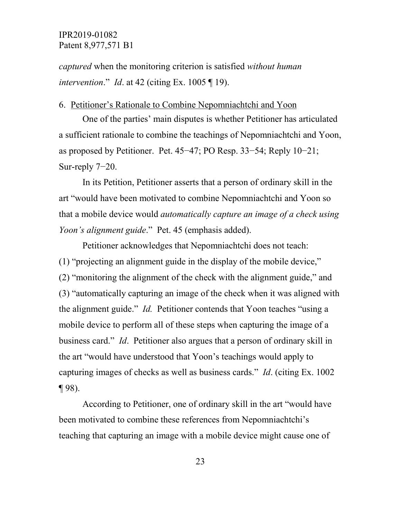*captured* when the monitoring criterion is satisfied *without human intervention*." *Id*. at 42 (citing Ex. 1005 ¶ 19).

#### 6. Petitioner's Rationale to Combine Nepomniachtchi and Yoon

One of the parties' main disputes is whether Petitioner has articulated a sufficient rationale to combine the teachings of Nepomniachtchi and Yoon, as proposed by Petitioner. Pet. 45−47; PO Resp. 33−54; Reply 10−21; Sur-reply 7−20.

In its Petition, Petitioner asserts that a person of ordinary skill in the art "would have been motivated to combine Nepomniachtchi and Yoon so that a mobile device would *automatically capture an image of a check using Yoon's alignment guide*." Pet. 45 (emphasis added).

Petitioner acknowledges that Nepomniachtchi does not teach: (1) "projecting an alignment guide in the display of the mobile device," (2) "monitoring the alignment of the check with the alignment guide," and (3) "automatically capturing an image of the check when it was aligned with the alignment guide." *Id.* Petitioner contends that Yoon teaches "using a mobile device to perform all of these steps when capturing the image of a business card." *Id*. Petitioner also argues that a person of ordinary skill in the art "would have understood that Yoon's teachings would apply to capturing images of checks as well as business cards." *Id*. (citing Ex. 1002  $\P$  98).

According to Petitioner, one of ordinary skill in the art "would have been motivated to combine these references from Nepomniachtchi's teaching that capturing an image with a mobile device might cause one of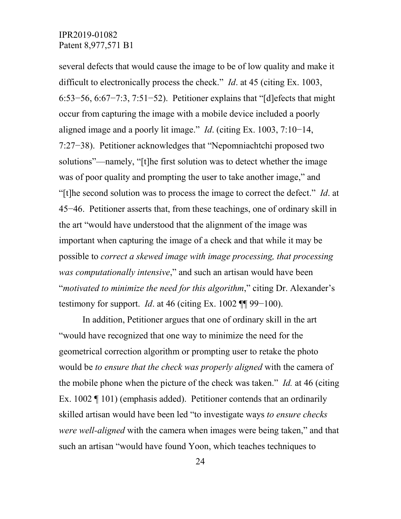several defects that would cause the image to be of low quality and make it difficult to electronically process the check." *Id*. at 45 (citing Ex. 1003, 6:53−56, 6:67−7:3, 7:51−52). Petitioner explains that "[d]efects that might occur from capturing the image with a mobile device included a poorly aligned image and a poorly lit image." *Id*. (citing Ex. 1003, 7:10−14, 7:27−38). Petitioner acknowledges that "Nepomniachtchi proposed two solutions"—namely, "[t]he first solution was to detect whether the image was of poor quality and prompting the user to take another image," and "[t]he second solution was to process the image to correct the defect." *Id*. at 45−46. Petitioner asserts that, from these teachings, one of ordinary skill in the art "would have understood that the alignment of the image was important when capturing the image of a check and that while it may be possible to *correct a skewed image with image processing, that processing was computationally intensive*," and such an artisan would have been "*motivated to minimize the need for this algorithm*," citing Dr. Alexander's testimony for support. *Id.* at 46 (citing Ex.  $1002$  ¶ 99–100).

In addition, Petitioner argues that one of ordinary skill in the art "would have recognized that one way to minimize the need for the geometrical correction algorithm or prompting user to retake the photo would be *to ensure that the check was properly aligned* with the camera of the mobile phone when the picture of the check was taken." *Id.* at 46 (citing Ex. 1002 ¶ 101) (emphasis added). Petitioner contends that an ordinarily skilled artisan would have been led "to investigate ways *to ensure checks were well-aligned* with the camera when images were being taken," and that such an artisan "would have found Yoon, which teaches techniques to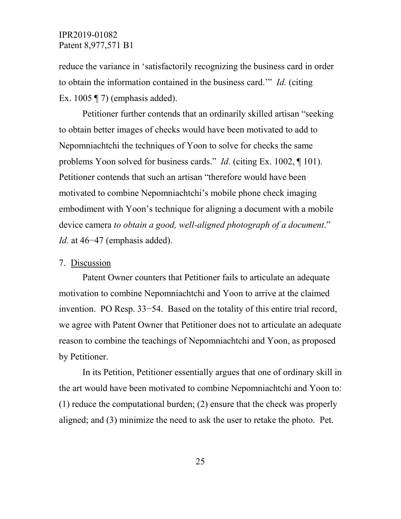reduce the variance in 'satisfactorily recognizing the business card in order to obtain the information contained in the business card.'" *Id.* (citing Ex. 1005  $\P$  7) (emphasis added).

Petitioner further contends that an ordinarily skilled artisan "seeking to obtain better images of checks would have been motivated to add to Nepomniachtchi the techniques of Yoon to solve for checks the same problems Yoon solved for business cards." *Id.* (citing Ex. 1002, ¶ 101). Petitioner contends that such an artisan "therefore would have been motivated to combine Nepomniachtchi's mobile phone check imaging embodiment with Yoon's technique for aligning a document with a mobile device camera *to obtain a good, well-aligned photograph of a document*." *Id.* at 46–47 (emphasis added).

#### 7. Discussion

Patent Owner counters that Petitioner fails to articulate an adequate motivation to combine Nepomniachtchi and Yoon to arrive at the claimed invention. PO Resp. 33−54. Based on the totality of this entire trial record, we agree with Patent Owner that Petitioner does not to articulate an adequate reason to combine the teachings of Nepomniachtchi and Yoon, as proposed by Petitioner.

In its Petition, Petitioner essentially argues that one of ordinary skill in the art would have been motivated to combine Nepomniachtchi and Yoon to: (1) reduce the computational burden; (2) ensure that the check was properly aligned; and (3) minimize the need to ask the user to retake the photo. Pet.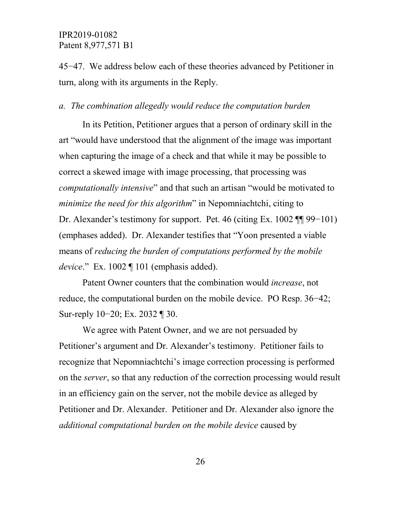45−47. We address below each of these theories advanced by Petitioner in turn, along with its arguments in the Reply.

#### *a. The combination allegedly would reduce the computation burden*

In its Petition, Petitioner argues that a person of ordinary skill in the art "would have understood that the alignment of the image was important when capturing the image of a check and that while it may be possible to correct a skewed image with image processing, that processing was *computationally intensive*" and that such an artisan "would be motivated to *minimize the need for this algorithm*" in Nepomniachtchi, citing to Dr. Alexander's testimony for support. Pet. 46 (citing Ex. 1002 ¶¶ 99–101) (emphases added). Dr. Alexander testifies that "Yoon presented a viable means of *reducing the burden of computations performed by the mobile device*." Ex. 1002 ¶ 101 (emphasis added).

Patent Owner counters that the combination would *increase*, not reduce, the computational burden on the mobile device. PO Resp. 36−42; Sur-reply 10−20; Ex. 2032 ¶ 30.

We agree with Patent Owner, and we are not persuaded by Petitioner's argument and Dr. Alexander's testimony. Petitioner fails to recognize that Nepomniachtchi's image correction processing is performed on the *server*, so that any reduction of the correction processing would result in an efficiency gain on the server, not the mobile device as alleged by Petitioner and Dr. Alexander. Petitioner and Dr. Alexander also ignore the *additional computational burden on the mobile device* caused by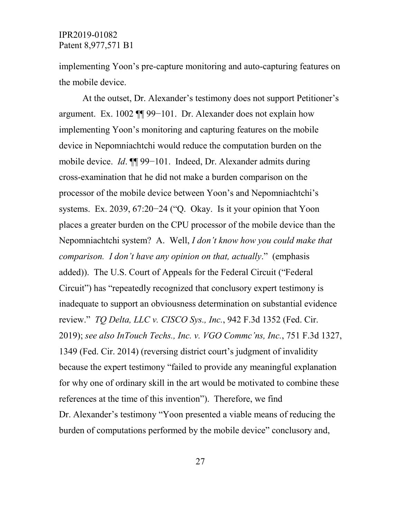implementing Yoon's pre-capture monitoring and auto-capturing features on the mobile device.

At the outset, Dr. Alexander's testimony does not support Petitioner's argument. Ex. 1002 ¶¶ 99−101. Dr. Alexander does not explain how implementing Yoon's monitoring and capturing features on the mobile device in Nepomniachtchi would reduce the computation burden on the mobile device. *Id*. ¶¶ 99−101. Indeed, Dr. Alexander admits during cross-examination that he did not make a burden comparison on the processor of the mobile device between Yoon's and Nepomniachtchi's systems. Ex. 2039, 67:20−24 ("Q. Okay. Is it your opinion that Yoon places a greater burden on the CPU processor of the mobile device than the Nepomniachtchi system? A. Well, *I don't know how you could make that comparison. I don't have any opinion on that, actually*." (emphasis added)). The U.S. Court of Appeals for the Federal Circuit ("Federal Circuit") has "repeatedly recognized that conclusory expert testimony is inadequate to support an obviousness determination on substantial evidence review." *TQ Delta, LLC v. CISCO Sys., Inc.*, 942 F.3d 1352 (Fed. Cir. 2019); *see also InTouch Techs., Inc. v. VGO Commc'ns, Inc.*, 751 F.3d 1327, 1349 (Fed. Cir. 2014) (reversing district court's judgment of invalidity because the expert testimony "failed to provide any meaningful explanation for why one of ordinary skill in the art would be motivated to combine these references at the time of this invention"). Therefore, we find Dr. Alexander's testimony "Yoon presented a viable means of reducing the burden of computations performed by the mobile device" conclusory and,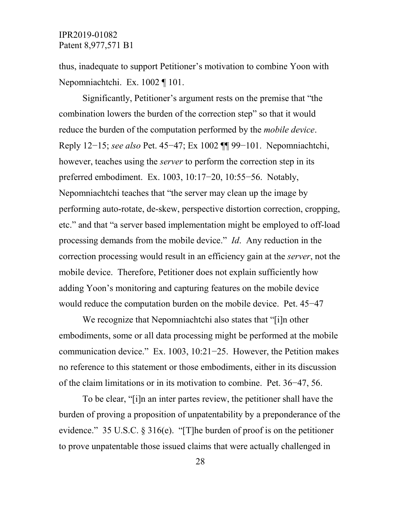thus, inadequate to support Petitioner's motivation to combine Yoon with Nepomniachtchi. Ex. 1002 ¶ 101.

Significantly, Petitioner's argument rests on the premise that "the combination lowers the burden of the correction step" so that it would reduce the burden of the computation performed by the *mobile device*. Reply 12−15; *see also* Pet. 45−47; Ex 1002 ¶¶ 99−101. Nepomniachtchi, however, teaches using the *server* to perform the correction step in its preferred embodiment. Ex. 1003, 10:17−20, 10:55−56. Notably, Nepomniachtchi teaches that "the server may clean up the image by performing auto-rotate, de-skew, perspective distortion correction, cropping, etc." and that "a server based implementation might be employed to off-load processing demands from the mobile device." *Id*. Any reduction in the correction processing would result in an efficiency gain at the *server*, not the mobile device. Therefore, Petitioner does not explain sufficiently how adding Yoon's monitoring and capturing features on the mobile device would reduce the computation burden on the mobile device. Pet. 45−47

We recognize that Nepomniachtchi also states that "[i]n other embodiments, some or all data processing might be performed at the mobile communication device." Ex. 1003, 10:21−25. However, the Petition makes no reference to this statement or those embodiments, either in its discussion of the claim limitations or in its motivation to combine. Pet. 36−47, 56.

To be clear, "[i]n an inter partes review, the petitioner shall have the burden of proving a proposition of unpatentability by a preponderance of the evidence." 35 U.S.C. § 316(e). "[T]he burden of proof is on the petitioner to prove unpatentable those issued claims that were actually challenged in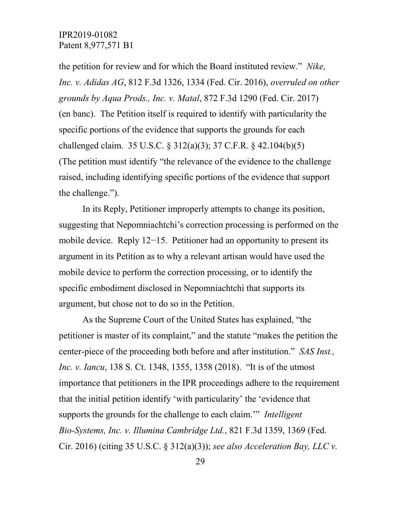the petition for review and for which the Board instituted review." *Nike, Inc. v. Adidas AG*, 812 F.3d 1326, 1334 (Fed. Cir. 2016), *overruled on other grounds by Aqua Prods., Inc. v. Matal*, 872 F.3d 1290 (Fed. Cir. 2017) (en banc). The Petition itself is required to identify with particularity the specific portions of the evidence that supports the grounds for each challenged claim. 35 U.S.C. § 312(a)(3); 37 C.F.R. § 42.104(b)(5) (The petition must identify "the relevance of the evidence to the challenge raised, including identifying specific portions of the evidence that support the challenge.").

In its Reply, Petitioner improperly attempts to change its position, suggesting that Nepomniachtchi's correction processing is performed on the mobile device. Reply 12−15. Petitioner had an opportunity to present its argument in its Petition as to why a relevant artisan would have used the mobile device to perform the correction processing, or to identify the specific embodiment disclosed in Nepomniachtchi that supports its argument, but chose not to do so in the Petition.

As the Supreme Court of the United States has explained, "the petitioner is master of its complaint," and the statute "makes the petition the center-piece of the proceeding both before and after institution." *SAS Inst., Inc. v. Iancu*, 138 S. Ct. 1348, 1355, 1358 (2018). "It is of the utmost importance that petitioners in the IPR proceedings adhere to the requirement that the initial petition identify 'with particularity' the 'evidence that supports the grounds for the challenge to each claim.'" *Intelligent Bio-Systems, Inc. v. Illumina Cambridge Ltd.*, 821 F.3d 1359, 1369 (Fed. Cir. 2016) (citing 35 U.S.C. § 312(a)(3)); *see also Acceleration Bay, LLC v.*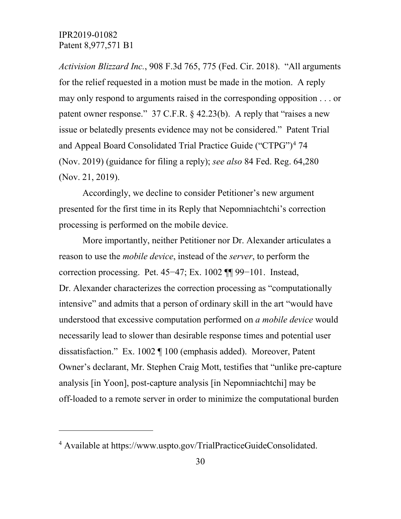$\overline{a}$ 

*Activision Blizzard Inc.*, 908 F.3d 765, 775 (Fed. Cir. 2018). "All arguments for the relief requested in a motion must be made in the motion. A reply may only respond to arguments raised in the corresponding opposition . . . or patent owner response." 37 C.F.R. § 42.23(b). A reply that "raises a new issue or belatedly presents evidence may not be considered." Patent Trial and Appeal Board Consolidated Trial Practice Guide ("CTPG")<sup>[4](#page-32-0)</sup> 74 (Nov. 2019) (guidance for filing a reply); *see also* 84 Fed. Reg. 64,280 (Nov. 21, 2019).

Accordingly, we decline to consider Petitioner's new argument presented for the first time in its Reply that Nepomniachtchi's correction processing is performed on the mobile device.

More importantly, neither Petitioner nor Dr. Alexander articulates a reason to use the *mobile device*, instead of the *server*, to perform the correction processing. Pet. 45−47; Ex. 1002 ¶¶ 99−101. Instead, Dr. Alexander characterizes the correction processing as "computationally intensive" and admits that a person of ordinary skill in the art "would have understood that excessive computation performed on *a mobile device* would necessarily lead to slower than desirable response times and potential user dissatisfaction." Ex. 1002 ¶ 100 (emphasis added). Moreover, Patent Owner's declarant, Mr. Stephen Craig Mott, testifies that "unlike pre-capture analysis [in Yoon], post-capture analysis [in Nepomniachtchi] may be off-loaded to a remote server in order to minimize the computational burden

<span id="page-32-0"></span><sup>4</sup> Available at https://www.uspto.gov/TrialPracticeGuideConsolidated.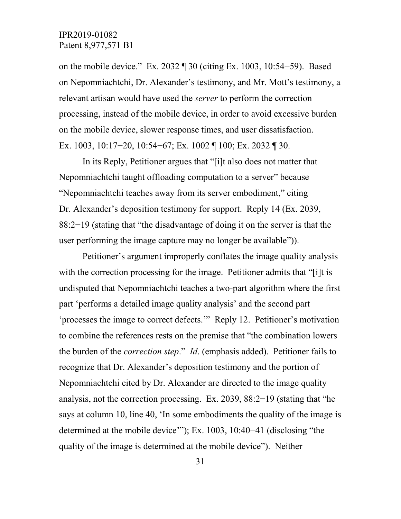on the mobile device." Ex. 2032 ¶ 30 (citing Ex. 1003, 10:54−59). Based on Nepomniachtchi, Dr. Alexander's testimony, and Mr. Mott's testimony, a relevant artisan would have used the *server* to perform the correction processing, instead of the mobile device, in order to avoid excessive burden on the mobile device, slower response times, and user dissatisfaction. Ex. 1003, 10:17−20, 10:54−67; Ex. 1002 ¶ 100; Ex. 2032 ¶ 30.

In its Reply, Petitioner argues that "[i]t also does not matter that Nepomniachtchi taught offloading computation to a server" because "Nepomniachtchi teaches away from its server embodiment," citing Dr. Alexander's deposition testimony for support. Reply 14 (Ex. 2039, 88:2−19 (stating that "the disadvantage of doing it on the server is that the user performing the image capture may no longer be available")).

Petitioner's argument improperly conflates the image quality analysis with the correction processing for the image. Petitioner admits that "[i]t is undisputed that Nepomniachtchi teaches a two-part algorithm where the first part 'performs a detailed image quality analysis' and the second part 'processes the image to correct defects.'" Reply 12. Petitioner's motivation to combine the references rests on the premise that "the combination lowers the burden of the *correction step*." *Id*. (emphasis added). Petitioner fails to recognize that Dr. Alexander's deposition testimony and the portion of Nepomniachtchi cited by Dr. Alexander are directed to the image quality analysis, not the correction processing. Ex. 2039, 88:2−19 (stating that "he says at column 10, line 40, 'In some embodiments the quality of the image is determined at the mobile device'"); Ex. 1003, 10:40−41 (disclosing "the quality of the image is determined at the mobile device"). Neither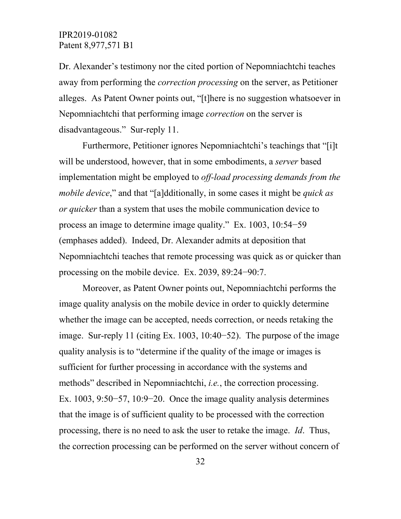Dr. Alexander's testimony nor the cited portion of Nepomniachtchi teaches away from performing the *correction processing* on the server, as Petitioner alleges. As Patent Owner points out, "[t]here is no suggestion whatsoever in Nepomniachtchi that performing image *correction* on the server is disadvantageous." Sur-reply 11.

Furthermore, Petitioner ignores Nepomniachtchi's teachings that "[i]t will be understood, however, that in some embodiments, a *server* based implementation might be employed to *off-load processing demands from the mobile device*," and that "[a]dditionally, in some cases it might be *quick as or quicker* than a system that uses the mobile communication device to process an image to determine image quality." Ex. 1003, 10:54−59 (emphases added). Indeed, Dr. Alexander admits at deposition that Nepomniachtchi teaches that remote processing was quick as or quicker than processing on the mobile device. Ex. 2039, 89:24−90:7.

Moreover, as Patent Owner points out, Nepomniachtchi performs the image quality analysis on the mobile device in order to quickly determine whether the image can be accepted, needs correction, or needs retaking the image. Sur-reply 11 (citing Ex. 1003, 10:40−52). The purpose of the image quality analysis is to "determine if the quality of the image or images is sufficient for further processing in accordance with the systems and methods" described in Nepomniachtchi, *i.e.*, the correction processing. Ex. 1003, 9:50−57, 10:9−20. Once the image quality analysis determines that the image is of sufficient quality to be processed with the correction processing, there is no need to ask the user to retake the image. *Id*. Thus, the correction processing can be performed on the server without concern of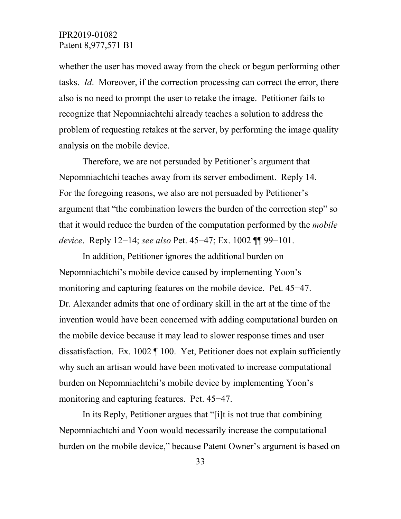whether the user has moved away from the check or begun performing other tasks. *Id*. Moreover, if the correction processing can correct the error, there also is no need to prompt the user to retake the image. Petitioner fails to recognize that Nepomniachtchi already teaches a solution to address the problem of requesting retakes at the server, by performing the image quality analysis on the mobile device.

Therefore, we are not persuaded by Petitioner's argument that Nepomniachtchi teaches away from its server embodiment. Reply 14. For the foregoing reasons, we also are not persuaded by Petitioner's argument that "the combination lowers the burden of the correction step" so that it would reduce the burden of the computation performed by the *mobile device*. Reply 12−14; *see also* Pet. 45−47; Ex. 1002 ¶¶ 99−101.

In addition, Petitioner ignores the additional burden on Nepomniachtchi's mobile device caused by implementing Yoon's monitoring and capturing features on the mobile device. Pet. 45−47. Dr. Alexander admits that one of ordinary skill in the art at the time of the invention would have been concerned with adding computational burden on the mobile device because it may lead to slower response times and user dissatisfaction. Ex. 1002 ¶ 100. Yet, Petitioner does not explain sufficiently why such an artisan would have been motivated to increase computational burden on Nepomniachtchi's mobile device by implementing Yoon's monitoring and capturing features. Pet. 45−47.

In its Reply, Petitioner argues that "[i]t is not true that combining Nepomniachtchi and Yoon would necessarily increase the computational burden on the mobile device," because Patent Owner's argument is based on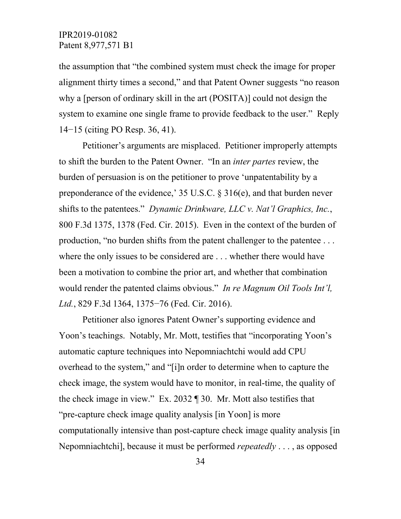the assumption that "the combined system must check the image for proper alignment thirty times a second," and that Patent Owner suggests "no reason why a [person of ordinary skill in the art (POSITA)] could not design the system to examine one single frame to provide feedback to the user." Reply 14−15 (citing PO Resp. 36, 41).

Petitioner's arguments are misplaced. Petitioner improperly attempts to shift the burden to the Patent Owner. "In an *inter partes* review, the burden of persuasion is on the petitioner to prove 'unpatentability by a preponderance of the evidence,' 35 U.S.C. § 316(e), and that burden never shifts to the patentees." *Dynamic Drinkware, LLC v. Nat'l Graphics, Inc.*, 800 F.3d 1375, 1378 (Fed. Cir. 2015). Even in the context of the burden of production, "no burden shifts from the patent challenger to the patentee . . . where the only issues to be considered are . . . whether there would have been a motivation to combine the prior art, and whether that combination would render the patented claims obvious." *In re Magnum Oil Tools Int'l, Ltd.*, 829 F.3d 1364, 1375−76 (Fed. Cir. 2016).

Petitioner also ignores Patent Owner's supporting evidence and Yoon's teachings. Notably, Mr. Mott, testifies that "incorporating Yoon's automatic capture techniques into Nepomniachtchi would add CPU overhead to the system," and "[i]n order to determine when to capture the check image, the system would have to monitor, in real-time, the quality of the check image in view." Ex. 2032 ¶ 30. Mr. Mott also testifies that "pre-capture check image quality analysis [in Yoon] is more computationally intensive than post-capture check image quality analysis [in Nepomniachtchi], because it must be performed *repeatedly* . . . , as opposed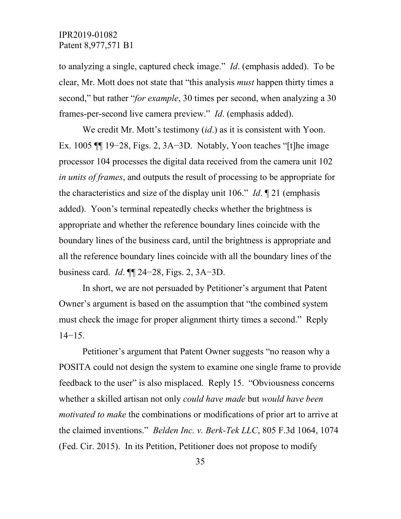to analyzing a single, captured check image." *Id*. (emphasis added). To be clear, Mr. Mott does not state that "this analysis *must* happen thirty times a second," but rather "*for example*, 30 times per second, when analyzing a 30 frames-per-second live camera preview." *Id*. (emphasis added).

We credit Mr. Mott's testimony (*id*.) as it is consistent with Yoon. Ex. 1005 ¶¶ 19−28, Figs. 2, 3A−3D. Notably, Yoon teaches "[t]he image processor 104 processes the digital data received from the camera unit 102 *in units of frames*, and outputs the result of processing to be appropriate for the characteristics and size of the display unit 106." *Id*. ¶ 21 (emphasis added). Yoon's terminal repeatedly checks whether the brightness is appropriate and whether the reference boundary lines coincide with the boundary lines of the business card, until the brightness is appropriate and all the reference boundary lines coincide with all the boundary lines of the business card. *Id*. ¶¶ 24−28, Figs. 2, 3A−3D.

In short, we are not persuaded by Petitioner's argument that Patent Owner's argument is based on the assumption that "the combined system must check the image for proper alignment thirty times a second." Reply 14−15.

Petitioner's argument that Patent Owner suggests "no reason why a POSITA could not design the system to examine one single frame to provide feedback to the user" is also misplaced. Reply 15. "Obviousness concerns whether a skilled artisan not only *could have made* but *would have been motivated to make* the combinations or modifications of prior art to arrive at the claimed inventions." *Belden Inc. v. Berk-Tek LLC*, 805 F.3d 1064, 1074 (Fed. Cir. 2015). In its Petition, Petitioner does not propose to modify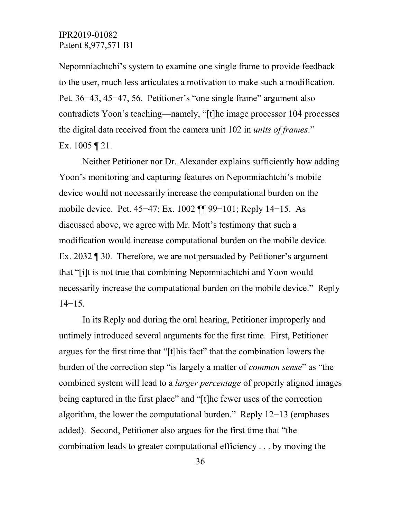Nepomniachtchi's system to examine one single frame to provide feedback to the user, much less articulates a motivation to make such a modification. Pet. 36−43, 45−47, 56. Petitioner's "one single frame" argument also contradicts Yoon's teaching—namely, "[t]he image processor 104 processes the digital data received from the camera unit 102 in *units of frames*." Ex. 1005 ¶ 21.

Neither Petitioner nor Dr. Alexander explains sufficiently how adding Yoon's monitoring and capturing features on Nepomniachtchi's mobile device would not necessarily increase the computational burden on the mobile device. Pet. 45−47; Ex. 1002 ¶¶ 99−101; Reply 14−15. As discussed above, we agree with Mr. Mott's testimony that such a modification would increase computational burden on the mobile device. Ex. 2032 ¶ 30. Therefore, we are not persuaded by Petitioner's argument that "[i]t is not true that combining Nepomniachtchi and Yoon would necessarily increase the computational burden on the mobile device." Reply 14−15.

In its Reply and during the oral hearing, Petitioner improperly and untimely introduced several arguments for the first time. First, Petitioner argues for the first time that "[t]his fact" that the combination lowers the burden of the correction step "is largely a matter of *common sense*" as "the combined system will lead to a *larger percentage* of properly aligned images being captured in the first place" and "[t]he fewer uses of the correction algorithm, the lower the computational burden." Reply 12−13 (emphases added). Second, Petitioner also argues for the first time that "the combination leads to greater computational efficiency . . . by moving the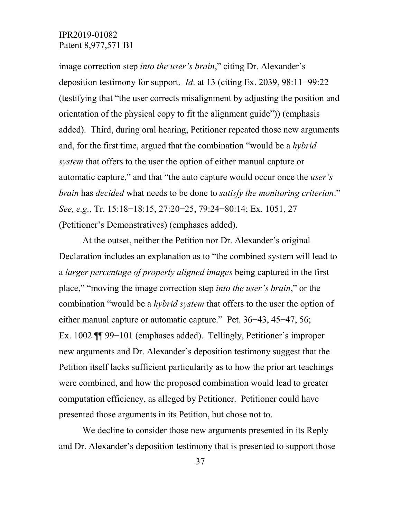image correction step *into the user's brain*," citing Dr. Alexander's deposition testimony for support. *Id*. at 13 (citing Ex. 2039, 98:11−99:22 (testifying that "the user corrects misalignment by adjusting the position and orientation of the physical copy to fit the alignment guide")) (emphasis added). Third, during oral hearing, Petitioner repeated those new arguments and, for the first time, argued that the combination "would be a *hybrid system* that offers to the user the option of either manual capture or automatic capture," and that "the auto capture would occur once the *user's brain* has *decided* what needs to be done to *satisfy the monitoring criterion*." *See, e.g.*, Tr. 15:18−18:15, 27:20−25, 79:24−80:14; Ex. 1051, 27 (Petitioner's Demonstratives) (emphases added).

At the outset, neither the Petition nor Dr. Alexander's original Declaration includes an explanation as to "the combined system will lead to a *larger percentage of properly aligned images* being captured in the first place," "moving the image correction step *into the user's brain*," or the combination "would be a *hybrid system* that offers to the user the option of either manual capture or automatic capture." Pet. 36−43, 45−47, 56; Ex. 1002 ¶¶ 99−101 (emphases added). Tellingly, Petitioner's improper new arguments and Dr. Alexander's deposition testimony suggest that the Petition itself lacks sufficient particularity as to how the prior art teachings were combined, and how the proposed combination would lead to greater computation efficiency, as alleged by Petitioner. Petitioner could have presented those arguments in its Petition, but chose not to.

We decline to consider those new arguments presented in its Reply and Dr. Alexander's deposition testimony that is presented to support those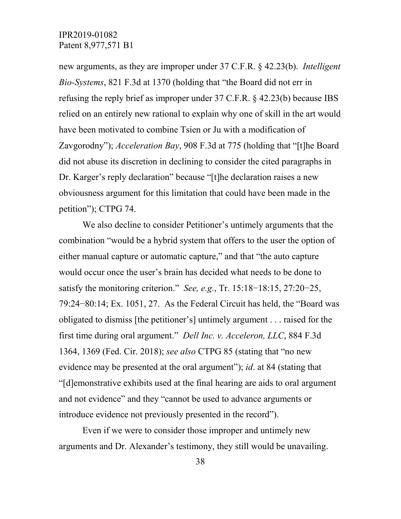new arguments, as they are improper under 37 C.F.R. § 42.23(b). *Intelligent Bio-Systems*, 821 F.3d at 1370 (holding that "the Board did not err in refusing the reply brief as improper under 37 C.F.R. § 42.23(b) because IBS relied on an entirely new rational to explain why one of skill in the art would have been motivated to combine Tsien or Ju with a modification of Zavgorodny"); *Acceleration Bay*, 908 F.3d at 775 (holding that "[t]he Board did not abuse its discretion in declining to consider the cited paragraphs in Dr. Karger's reply declaration" because "[t]he declaration raises a new obviousness argument for this limitation that could have been made in the petition"); CTPG 74.

We also decline to consider Petitioner's untimely arguments that the combination "would be a hybrid system that offers to the user the option of either manual capture or automatic capture," and that "the auto capture would occur once the user's brain has decided what needs to be done to satisfy the monitoring criterion." *See, e.g.*, Tr. 15:18−18:15, 27:20−25, 79:24−80:14; Ex. 1051, 27. As the Federal Circuit has held, the "Board was obligated to dismiss [the petitioner's] untimely argument . . . raised for the first time during oral argument." *Dell Inc. v. Acceleron, LLC*, 884 F.3d 1364, 1369 (Fed. Cir. 2018); *see also* CTPG 85 (stating that "no new evidence may be presented at the oral argument"); *id*. at 84 (stating that "[d]emonstrative exhibits used at the final hearing are aids to oral argument and not evidence" and they "cannot be used to advance arguments or introduce evidence not previously presented in the record").

Even if we were to consider those improper and untimely new arguments and Dr. Alexander's testimony, they still would be unavailing.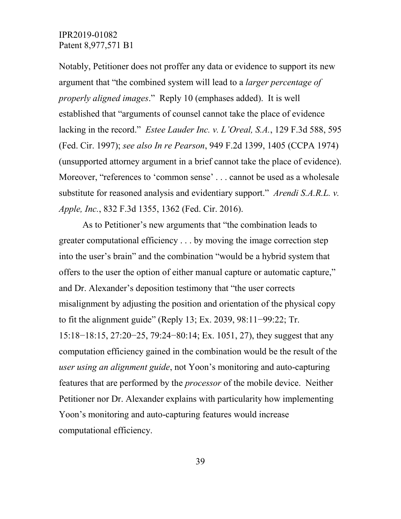Notably, Petitioner does not proffer any data or evidence to support its new argument that "the combined system will lead to a *larger percentage of properly aligned images*." Reply 10 (emphases added). It is well established that "arguments of counsel cannot take the place of evidence lacking in the record." *Estee Lauder Inc. v. L'Oreal, S.A.*, 129 F.3d 588, 595 (Fed. Cir. 1997); *see also In re Pearson*, 949 F.2d 1399, 1405 (CCPA 1974) (unsupported attorney argument in a brief cannot take the place of evidence). Moreover, "references to 'common sense' . . . cannot be used as a wholesale substitute for reasoned analysis and evidentiary support." *Arendi S.A.R.L. v. Apple, Inc.*, 832 F.3d 1355, 1362 (Fed. Cir. 2016).

As to Petitioner's new arguments that "the combination leads to greater computational efficiency . . . by moving the image correction step into the user's brain" and the combination "would be a hybrid system that offers to the user the option of either manual capture or automatic capture," and Dr. Alexander's deposition testimony that "the user corrects misalignment by adjusting the position and orientation of the physical copy to fit the alignment guide" (Reply 13; Ex. 2039, 98:11−99:22; Tr. 15:18−18:15, 27:20−25, 79:24−80:14; Ex. 1051, 27), they suggest that any computation efficiency gained in the combination would be the result of the *user using an alignment guide*, not Yoon's monitoring and auto-capturing features that are performed by the *processor* of the mobile device. Neither Petitioner nor Dr. Alexander explains with particularity how implementing Yoon's monitoring and auto-capturing features would increase computational efficiency.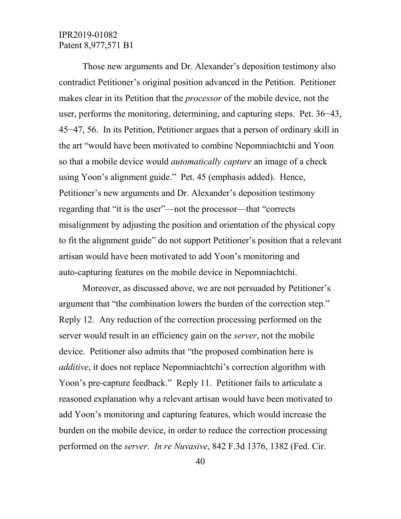Those new arguments and Dr. Alexander's deposition testimony also contradict Petitioner's original position advanced in the Petition. Petitioner makes clear in its Petition that the *processor* of the mobile device, not the user, performs the monitoring, determining, and capturing steps. Pet. 36−43, 45−47, 56. In its Petition, Petitioner argues that a person of ordinary skill in the art "would have been motivated to combine Nepomniachtchi and Yoon so that a mobile device would *automatically capture* an image of a check using Yoon's alignment guide." Pet. 45 (emphasis added). Hence, Petitioner's new arguments and Dr. Alexander's deposition testimony regarding that "it is the user"—not the processor—that "corrects misalignment by adjusting the position and orientation of the physical copy to fit the alignment guide" do not support Petitioner's position that a relevant artisan would have been motivated to add Yoon's monitoring and auto-capturing features on the mobile device in Nepomniachtchi.

Moreover, as discussed above, we are not persuaded by Petitioner's argument that "the combination lowers the burden of the correction step." Reply 12. Any reduction of the correction processing performed on the server would result in an efficiency gain on the *server*, not the mobile device. Petitioner also admits that "the proposed combination here is *additive*, it does not replace Nepomniachtchi's correction algorithm with Yoon's pre-capture feedback." Reply 11. Petitioner fails to articulate a reasoned explanation why a relevant artisan would have been motivated to add Yoon's monitoring and capturing features, which would increase the burden on the mobile device, in order to reduce the correction processing performed on the *server*. *In re Nuvasive*, 842 F.3d 1376, 1382 (Fed. Cir.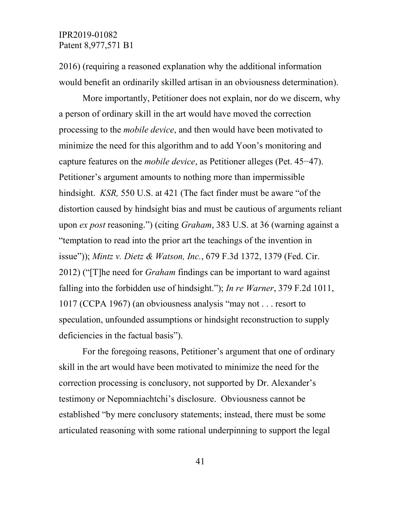2016) (requiring a reasoned explanation why the additional information would benefit an ordinarily skilled artisan in an obviousness determination).

More importantly, Petitioner does not explain, nor do we discern, why a person of ordinary skill in the art would have moved the correction processing to the *mobile device*, and then would have been motivated to minimize the need for this algorithm and to add Yoon's monitoring and capture features on the *mobile device*, as Petitioner alleges (Pet. 45−47). Petitioner's argument amounts to nothing more than impermissible hindsight. *KSR,* 550 U.S. at 421 (The fact finder must be aware "of the distortion caused by hindsight bias and must be cautious of arguments reliant upon *ex post* reasoning.") (citing *Graham*, 383 U.S. at 36 (warning against a "temptation to read into the prior art the teachings of the invention in issue")); *Mintz v. Dietz & Watson, Inc.*, 679 F.3d 1372, 1379 (Fed. Cir. 2012) ("[T]he need for *Graham* findings can be important to ward against falling into the forbidden use of hindsight."); *In re Warner*, 379 F.2d 1011, 1017 (CCPA 1967) (an obviousness analysis "may not . . . resort to speculation, unfounded assumptions or hindsight reconstruction to supply deficiencies in the factual basis").

For the foregoing reasons, Petitioner's argument that one of ordinary skill in the art would have been motivated to minimize the need for the correction processing is conclusory, not supported by Dr. Alexander's testimony or Nepomniachtchi's disclosure. Obviousness cannot be established "by mere conclusory statements; instead, there must be some articulated reasoning with some rational underpinning to support the legal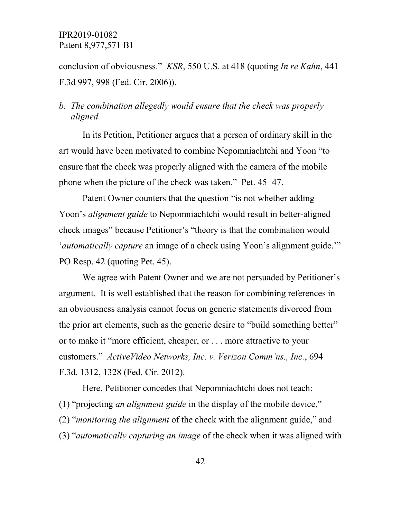conclusion of obviousness." *KSR*, 550 U.S. at 418 (quoting *In re Kahn*, 441 F.3d 997, 998 (Fed. Cir. 2006)).

# *b. The combination allegedly would ensure that the check was properly aligned*

In its Petition, Petitioner argues that a person of ordinary skill in the art would have been motivated to combine Nepomniachtchi and Yoon "to ensure that the check was properly aligned with the camera of the mobile phone when the picture of the check was taken." Pet. 45−47.

Patent Owner counters that the question "is not whether adding Yoon's *alignment guide* to Nepomniachtchi would result in better-aligned check images" because Petitioner's "theory is that the combination would '*automatically capture* an image of a check using Yoon's alignment guide.'" PO Resp. 42 (quoting Pet. 45).

We agree with Patent Owner and we are not persuaded by Petitioner's argument. It is well established that the reason for combining references in an obviousness analysis cannot focus on generic statements divorced from the prior art elements, such as the generic desire to "build something better" or to make it "more efficient, cheaper, or . . . more attractive to your customers." *ActiveVideo Networks, Inc. v. Verizon Comm'ns., Inc.*, 694 F.3d. 1312, 1328 (Fed. Cir. 2012).

Here, Petitioner concedes that Nepomniachtchi does not teach: (1) "projecting *an alignment guide* in the display of the mobile device," (2) "*monitoring the alignment* of the check with the alignment guide," and (3) "*automatically capturing an image* of the check when it was aligned with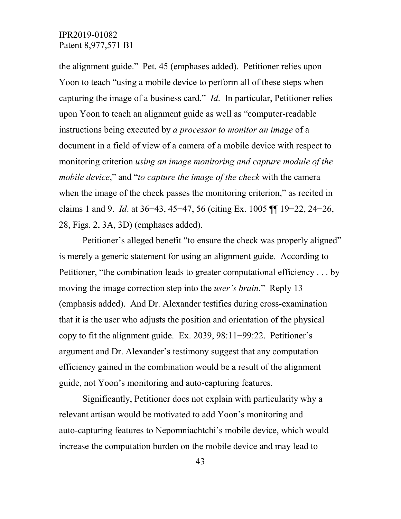the alignment guide." Pet. 45 (emphases added). Petitioner relies upon Yoon to teach "using a mobile device to perform all of these steps when capturing the image of a business card." *Id*. In particular, Petitioner relies upon Yoon to teach an alignment guide as well as "computer-readable instructions being executed by *a processor to monitor an image* of a document in a field of view of a camera of a mobile device with respect to monitoring criterion *using an image monitoring and capture module of the mobile device*," and "*to capture the image of the check* with the camera when the image of the check passes the monitoring criterion," as recited in claims 1 and 9. *Id*. at 36−43, 45−47, 56 (citing Ex. 1005 ¶¶ 19−22, 24−26, 28, Figs. 2, 3A, 3D) (emphases added).

Petitioner's alleged benefit "to ensure the check was properly aligned" is merely a generic statement for using an alignment guide. According to Petitioner, "the combination leads to greater computational efficiency . . . by moving the image correction step into the *user's brain*." Reply 13 (emphasis added). And Dr. Alexander testifies during cross-examination that it is the user who adjusts the position and orientation of the physical copy to fit the alignment guide. Ex. 2039, 98:11−99:22. Petitioner's argument and Dr. Alexander's testimony suggest that any computation efficiency gained in the combination would be a result of the alignment guide, not Yoon's monitoring and auto-capturing features.

Significantly, Petitioner does not explain with particularity why a relevant artisan would be motivated to add Yoon's monitoring and auto-capturing features to Nepomniachtchi's mobile device, which would increase the computation burden on the mobile device and may lead to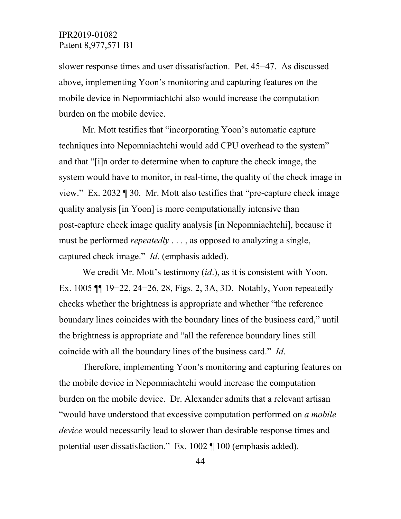slower response times and user dissatisfaction. Pet. 45−47. As discussed above, implementing Yoon's monitoring and capturing features on the mobile device in Nepomniachtchi also would increase the computation burden on the mobile device.

Mr. Mott testifies that "incorporating Yoon's automatic capture techniques into Nepomniachtchi would add CPU overhead to the system" and that "[i]n order to determine when to capture the check image, the system would have to monitor, in real-time, the quality of the check image in view." Ex. 2032 ¶ 30. Mr. Mott also testifies that "pre-capture check image quality analysis [in Yoon] is more computationally intensive than post-capture check image quality analysis [in Nepomniachtchi], because it must be performed *repeatedly* . . . , as opposed to analyzing a single, captured check image." *Id*. (emphasis added).

We credit Mr. Mott's testimony (*id*.), as it is consistent with Yoon. Ex. 1005 ¶¶ 19−22, 24−26, 28, Figs. 2, 3A, 3D. Notably, Yoon repeatedly checks whether the brightness is appropriate and whether "the reference boundary lines coincides with the boundary lines of the business card," until the brightness is appropriate and "all the reference boundary lines still coincide with all the boundary lines of the business card." *Id*.

Therefore, implementing Yoon's monitoring and capturing features on the mobile device in Nepomniachtchi would increase the computation burden on the mobile device. Dr. Alexander admits that a relevant artisan "would have understood that excessive computation performed on *a mobile device* would necessarily lead to slower than desirable response times and potential user dissatisfaction." Ex. 1002 ¶ 100 (emphasis added).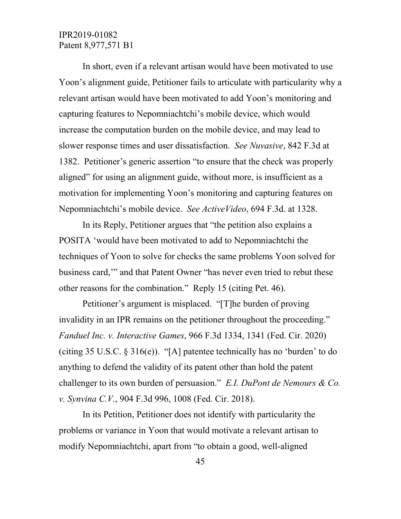In short, even if a relevant artisan would have been motivated to use Yoon's alignment guide, Petitioner fails to articulate with particularity why a relevant artisan would have been motivated to add Yoon's monitoring and capturing features to Nepomniachtchi's mobile device, which would increase the computation burden on the mobile device, and may lead to slower response times and user dissatisfaction. *See Nuvasive*, 842 F.3d at 1382. Petitioner's generic assertion "to ensure that the check was properly aligned" for using an alignment guide, without more, is insufficient as a motivation for implementing Yoon's monitoring and capturing features on Nepomniachtchi's mobile device. *See ActiveVideo*, 694 F.3d. at 1328.

In its Reply, Petitioner argues that "the petition also explains a POSITA 'would have been motivated to add to Nepomniachtchi the techniques of Yoon to solve for checks the same problems Yoon solved for business card,'" and that Patent Owner "has never even tried to rebut these other reasons for the combination." Reply 15 (citing Pet. 46).

Petitioner's argument is misplaced. "[T]he burden of proving invalidity in an IPR remains on the petitioner throughout the proceeding." *Fanduel Inc. v. Interactive Games*, 966 F.3d 1334, 1341 (Fed. Cir. 2020) (citing 35 U.S.C.  $\S 316(e)$ ). "[A] patentee technically has no 'burden' to do anything to defend the validity of its patent other than hold the patent challenger to its own burden of persuasion." *E.I. DuPont de Nemours & Co. v. Synvina C.V.*, 904 F.3d 996, 1008 (Fed. Cir. 2018).

In its Petition, Petitioner does not identify with particularity the problems or variance in Yoon that would motivate a relevant artisan to modify Nepomniachtchi, apart from "to obtain a good, well-aligned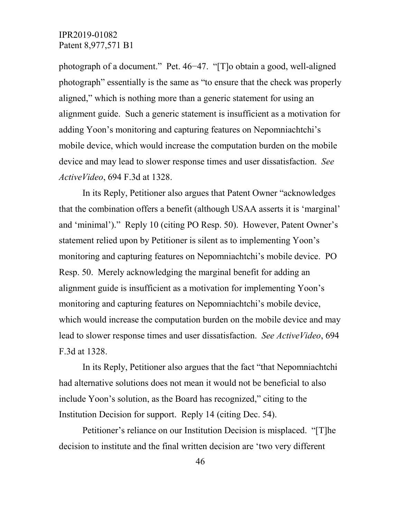photograph of a document." Pet. 46−47. "[T]o obtain a good, well-aligned photograph" essentially is the same as "to ensure that the check was properly aligned," which is nothing more than a generic statement for using an alignment guide. Such a generic statement is insufficient as a motivation for adding Yoon's monitoring and capturing features on Nepomniachtchi's mobile device, which would increase the computation burden on the mobile device and may lead to slower response times and user dissatisfaction. *See ActiveVideo*, 694 F.3d at 1328.

In its Reply, Petitioner also argues that Patent Owner "acknowledges that the combination offers a benefit (although USAA asserts it is 'marginal' and 'minimal')." Reply 10 (citing PO Resp. 50). However, Patent Owner's statement relied upon by Petitioner is silent as to implementing Yoon's monitoring and capturing features on Nepomniachtchi's mobile device. PO Resp. 50. Merely acknowledging the marginal benefit for adding an alignment guide is insufficient as a motivation for implementing Yoon's monitoring and capturing features on Nepomniachtchi's mobile device, which would increase the computation burden on the mobile device and may lead to slower response times and user dissatisfaction. *See ActiveVideo*, 694 F.3d at 1328.

In its Reply, Petitioner also argues that the fact "that Nepomniachtchi had alternative solutions does not mean it would not be beneficial to also include Yoon's solution, as the Board has recognized," citing to the Institution Decision for support. Reply 14 (citing Dec. 54).

Petitioner's reliance on our Institution Decision is misplaced. "[T]he decision to institute and the final written decision are 'two very different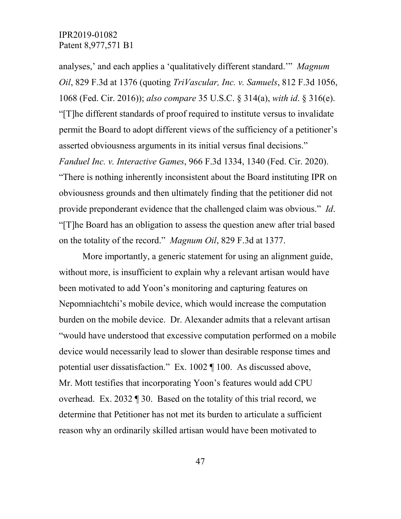analyses,' and each applies a 'qualitatively different standard.'" *Magnum Oil*, 829 F.3d at 1376 (quoting *TriVascular, Inc. v. Samuels*, 812 F.3d 1056, 1068 (Fed. Cir. 2016)); *also compare* 35 U.S.C. § 314(a), *with id*. § 316(e). "[T]he different standards of proof required to institute versus to invalidate permit the Board to adopt different views of the sufficiency of a petitioner's asserted obviousness arguments in its initial versus final decisions." *Fanduel Inc. v. Interactive Games*, 966 F.3d 1334, 1340 (Fed. Cir. 2020). "There is nothing inherently inconsistent about the Board instituting IPR on obviousness grounds and then ultimately finding that the petitioner did not provide preponderant evidence that the challenged claim was obvious." *Id*. "[T]he Board has an obligation to assess the question anew after trial based on the totality of the record." *Magnum Oil*, 829 F.3d at 1377.

More importantly, a generic statement for using an alignment guide, without more, is insufficient to explain why a relevant artisan would have been motivated to add Yoon's monitoring and capturing features on Nepomniachtchi's mobile device, which would increase the computation burden on the mobile device. Dr. Alexander admits that a relevant artisan "would have understood that excessive computation performed on a mobile device would necessarily lead to slower than desirable response times and potential user dissatisfaction." Ex. 1002 ¶ 100. As discussed above, Mr. Mott testifies that incorporating Yoon's features would add CPU overhead. Ex. 2032 ¶ 30. Based on the totality of this trial record, we determine that Petitioner has not met its burden to articulate a sufficient reason why an ordinarily skilled artisan would have been motivated to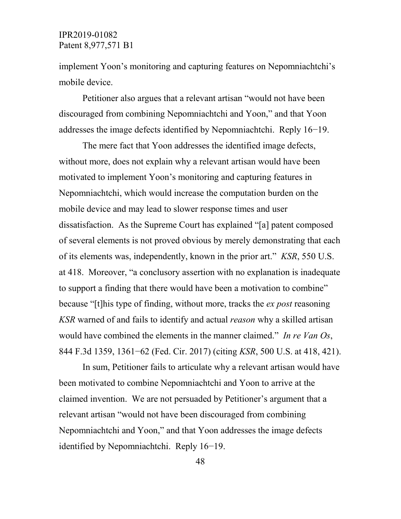implement Yoon's monitoring and capturing features on Nepomniachtchi's mobile device.

Petitioner also argues that a relevant artisan "would not have been discouraged from combining Nepomniachtchi and Yoon," and that Yoon addresses the image defects identified by Nepomniachtchi. Reply 16−19.

The mere fact that Yoon addresses the identified image defects, without more, does not explain why a relevant artisan would have been motivated to implement Yoon's monitoring and capturing features in Nepomniachtchi, which would increase the computation burden on the mobile device and may lead to slower response times and user dissatisfaction. As the Supreme Court has explained "[a] patent composed of several elements is not proved obvious by merely demonstrating that each of its elements was, independently, known in the prior art." *KSR*, 550 U.S. at 418. Moreover, "a conclusory assertion with no explanation is inadequate to support a finding that there would have been a motivation to combine" because "[t]his type of finding, without more, tracks the *ex post* reasoning *KSR* warned of and fails to identify and actual *reason* why a skilled artisan would have combined the elements in the manner claimed." *In re Van Os*, 844 F.3d 1359, 1361−62 (Fed. Cir. 2017) (citing *KSR*, 500 U.S. at 418, 421).

In sum, Petitioner fails to articulate why a relevant artisan would have been motivated to combine Nepomniachtchi and Yoon to arrive at the claimed invention. We are not persuaded by Petitioner's argument that a relevant artisan "would not have been discouraged from combining Nepomniachtchi and Yoon," and that Yoon addresses the image defects identified by Nepomniachtchi. Reply 16−19.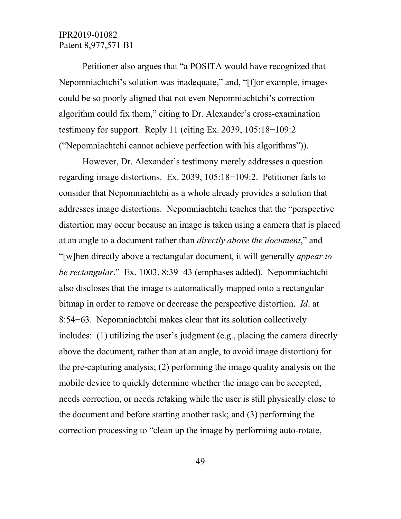Petitioner also argues that "a POSITA would have recognized that Nepomniachtchi's solution was inadequate," and, "[f]or example, images could be so poorly aligned that not even Nepomniachtchi's correction algorithm could fix them," citing to Dr. Alexander's cross-examination testimony for support. Reply 11 (citing Ex. 2039, 105:18−109:2 ("Nepomniachtchi cannot achieve perfection with his algorithms")).

However, Dr. Alexander's testimony merely addresses a question regarding image distortions. Ex. 2039, 105:18−109:2. Petitioner fails to consider that Nepomniachtchi as a whole already provides a solution that addresses image distortions. Nepomniachtchi teaches that the "perspective distortion may occur because an image is taken using a camera that is placed at an angle to a document rather than *directly above the document*," and "[w]hen directly above a rectangular document, it will generally *appear to be rectangular*." Ex. 1003, 8:39−43 (emphases added). Nepomniachtchi also discloses that the image is automatically mapped onto a rectangular bitmap in order to remove or decrease the perspective distortion. *Id*. at 8:54−63. Nepomniachtchi makes clear that its solution collectively includes: (1) utilizing the user's judgment (e.g., placing the camera directly above the document, rather than at an angle, to avoid image distortion) for the pre-capturing analysis; (2) performing the image quality analysis on the mobile device to quickly determine whether the image can be accepted, needs correction, or needs retaking while the user is still physically close to the document and before starting another task; and (3) performing the correction processing to "clean up the image by performing auto-rotate,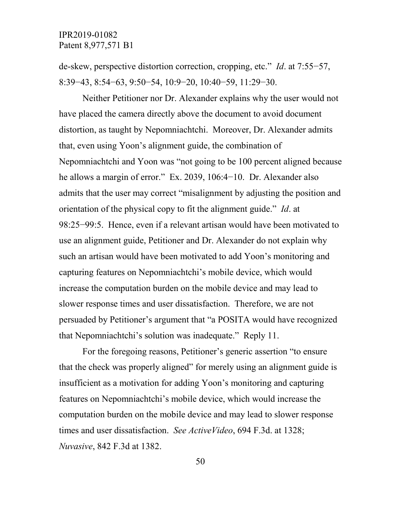de-skew, perspective distortion correction, cropping, etc." *Id*. at 7:55−57, 8:39−43, 8:54−63, 9:50−54, 10:9−20, 10:40−59, 11:29−30.

Neither Petitioner nor Dr. Alexander explains why the user would not have placed the camera directly above the document to avoid document distortion, as taught by Nepomniachtchi. Moreover, Dr. Alexander admits that, even using Yoon's alignment guide, the combination of Nepomniachtchi and Yoon was "not going to be 100 percent aligned because he allows a margin of error." Ex. 2039, 106:4−10. Dr. Alexander also admits that the user may correct "misalignment by adjusting the position and orientation of the physical copy to fit the alignment guide." *Id*. at 98:25−99:5. Hence, even if a relevant artisan would have been motivated to use an alignment guide, Petitioner and Dr. Alexander do not explain why such an artisan would have been motivated to add Yoon's monitoring and capturing features on Nepomniachtchi's mobile device, which would increase the computation burden on the mobile device and may lead to slower response times and user dissatisfaction. Therefore, we are not persuaded by Petitioner's argument that "a POSITA would have recognized that Nepomniachtchi's solution was inadequate." Reply 11.

For the foregoing reasons, Petitioner's generic assertion "to ensure that the check was properly aligned" for merely using an alignment guide is insufficient as a motivation for adding Yoon's monitoring and capturing features on Nepomniachtchi's mobile device, which would increase the computation burden on the mobile device and may lead to slower response times and user dissatisfaction. *See ActiveVideo*, 694 F.3d. at 1328; *Nuvasive*, 842 F.3d at 1382.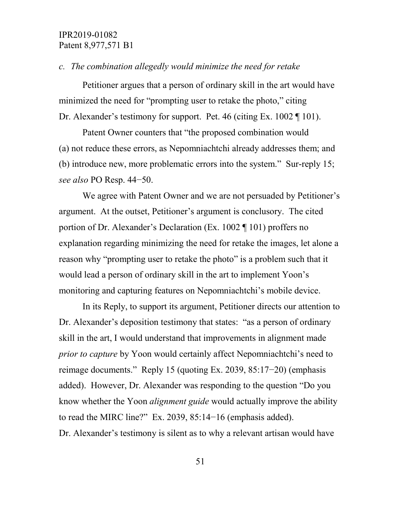#### *c. The combination allegedly would minimize the need for retake*

Petitioner argues that a person of ordinary skill in the art would have minimized the need for "prompting user to retake the photo," citing Dr. Alexander's testimony for support. Pet. 46 (citing Ex. 1002 ¶ 101).

Patent Owner counters that "the proposed combination would (a) not reduce these errors, as Nepomniachtchi already addresses them; and (b) introduce new, more problematic errors into the system." Sur-reply 15; *see also* PO Resp. 44−50.

We agree with Patent Owner and we are not persuaded by Petitioner's argument. At the outset, Petitioner's argument is conclusory. The cited portion of Dr. Alexander's Declaration (Ex. 1002 ¶ 101) proffers no explanation regarding minimizing the need for retake the images, let alone a reason why "prompting user to retake the photo" is a problem such that it would lead a person of ordinary skill in the art to implement Yoon's monitoring and capturing features on Nepomniachtchi's mobile device.

In its Reply, to support its argument, Petitioner directs our attention to Dr. Alexander's deposition testimony that states: "as a person of ordinary skill in the art, I would understand that improvements in alignment made *prior to capture* by Yoon would certainly affect Nepomniachtchi's need to reimage documents." Reply 15 (quoting Ex. 2039, 85:17−20) (emphasis added). However, Dr. Alexander was responding to the question "Do you know whether the Yoon *alignment guide* would actually improve the ability to read the MIRC line?" Ex. 2039, 85:14−16 (emphasis added). Dr. Alexander's testimony is silent as to why a relevant artisan would have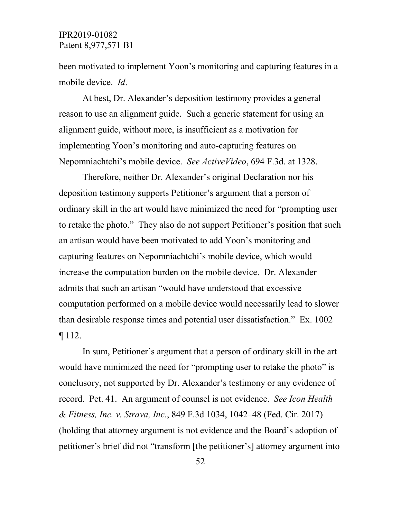been motivated to implement Yoon's monitoring and capturing features in a mobile device. *Id*.

At best, Dr. Alexander's deposition testimony provides a general reason to use an alignment guide. Such a generic statement for using an alignment guide, without more, is insufficient as a motivation for implementing Yoon's monitoring and auto-capturing features on Nepomniachtchi's mobile device. *See ActiveVideo*, 694 F.3d. at 1328.

Therefore, neither Dr. Alexander's original Declaration nor his deposition testimony supports Petitioner's argument that a person of ordinary skill in the art would have minimized the need for "prompting user to retake the photo." They also do not support Petitioner's position that such an artisan would have been motivated to add Yoon's monitoring and capturing features on Nepomniachtchi's mobile device, which would increase the computation burden on the mobile device. Dr. Alexander admits that such an artisan "would have understood that excessive computation performed on a mobile device would necessarily lead to slower than desirable response times and potential user dissatisfaction." Ex. 1002 ¶ 112.

In sum, Petitioner's argument that a person of ordinary skill in the art would have minimized the need for "prompting user to retake the photo" is conclusory, not supported by Dr. Alexander's testimony or any evidence of record. Pet. 41. An argument of counsel is not evidence. *See Icon Health & Fitness, Inc. v. Strava, Inc.*, 849 F.3d 1034, 1042–48 (Fed. Cir. 2017) (holding that attorney argument is not evidence and the Board's adoption of petitioner's brief did not "transform [the petitioner's] attorney argument into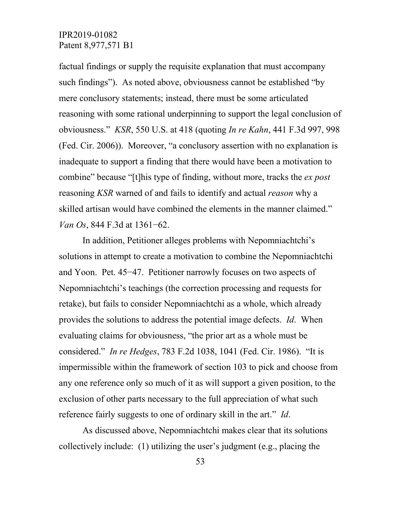factual findings or supply the requisite explanation that must accompany such findings"). As noted above, obviousness cannot be established "by mere conclusory statements; instead, there must be some articulated reasoning with some rational underpinning to support the legal conclusion of obviousness." *KSR*, 550 U.S. at 418 (quoting *In re Kahn*, 441 F.3d 997, 998 (Fed. Cir. 2006)). Moreover, "a conclusory assertion with no explanation is inadequate to support a finding that there would have been a motivation to combine" because "[t]his type of finding, without more, tracks the *ex post*  reasoning *KSR* warned of and fails to identify and actual *reason* why a skilled artisan would have combined the elements in the manner claimed." *Van Os*, 844 F.3d at 1361−62.

In addition, Petitioner alleges problems with Nepomniachtchi's solutions in attempt to create a motivation to combine the Nepomniachtchi and Yoon. Pet. 45−47. Petitioner narrowly focuses on two aspects of Nepomniachtchi's teachings (the correction processing and requests for retake), but fails to consider Nepomniachtchi as a whole, which already provides the solutions to address the potential image defects. *Id*. When evaluating claims for obviousness, "the prior art as a whole must be considered." *In re Hedges*, 783 F.2d 1038, 1041 (Fed. Cir. 1986). "It is impermissible within the framework of section 103 to pick and choose from any one reference only so much of it as will support a given position, to the exclusion of other parts necessary to the full appreciation of what such reference fairly suggests to one of ordinary skill in the art." *Id*.

As discussed above, Nepomniachtchi makes clear that its solutions collectively include: (1) utilizing the user's judgment (e.g., placing the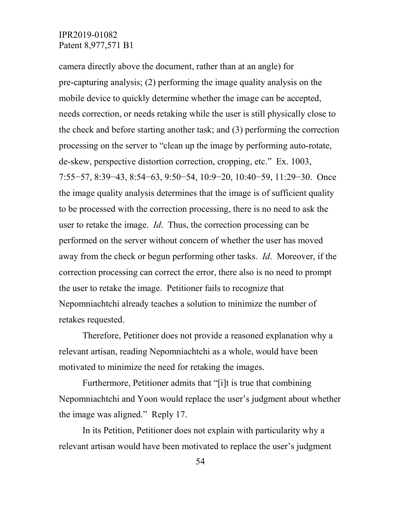camera directly above the document, rather than at an angle) for pre-capturing analysis; (2) performing the image quality analysis on the mobile device to quickly determine whether the image can be accepted, needs correction, or needs retaking while the user is still physically close to the check and before starting another task; and (3) performing the correction processing on the server to "clean up the image by performing auto-rotate, de-skew, perspective distortion correction, cropping, etc." Ex. 1003, 7:55−57, 8:39−43, 8:54−63, 9:50−54, 10:9−20, 10:40−59, 11:29−30. Once the image quality analysis determines that the image is of sufficient quality to be processed with the correction processing, there is no need to ask the user to retake the image. *Id*. Thus, the correction processing can be performed on the server without concern of whether the user has moved away from the check or begun performing other tasks. *Id*. Moreover, if the correction processing can correct the error, there also is no need to prompt the user to retake the image. Petitioner fails to recognize that Nepomniachtchi already teaches a solution to minimize the number of retakes requested.

Therefore, Petitioner does not provide a reasoned explanation why a relevant artisan, reading Nepomniachtchi as a whole, would have been motivated to minimize the need for retaking the images.

Furthermore, Petitioner admits that "[i]t is true that combining Nepomniachtchi and Yoon would replace the user's judgment about whether the image was aligned." Reply 17.

In its Petition, Petitioner does not explain with particularity why a relevant artisan would have been motivated to replace the user's judgment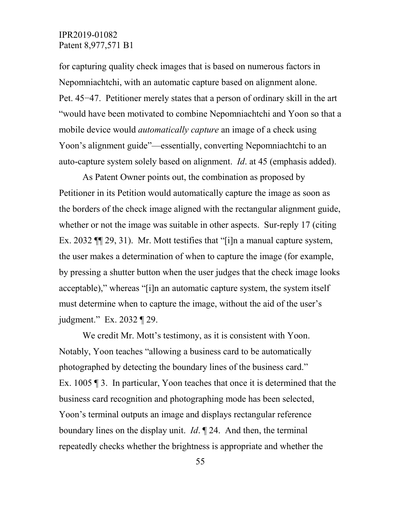for capturing quality check images that is based on numerous factors in Nepomniachtchi, with an automatic capture based on alignment alone. Pet. 45−47. Petitioner merely states that a person of ordinary skill in the art "would have been motivated to combine Nepomniachtchi and Yoon so that a mobile device would *automatically capture* an image of a check using Yoon's alignment guide"—essentially, converting Nepomniachtchi to an auto-capture system solely based on alignment. *Id*. at 45 (emphasis added).

As Patent Owner points out, the combination as proposed by Petitioner in its Petition would automatically capture the image as soon as the borders of the check image aligned with the rectangular alignment guide, whether or not the image was suitable in other aspects. Sur-reply 17 (citing Ex. 2032 ¶¶ 29, 31). Mr. Mott testifies that "[i]n a manual capture system, the user makes a determination of when to capture the image (for example, by pressing a shutter button when the user judges that the check image looks acceptable)," whereas "[i]n an automatic capture system, the system itself must determine when to capture the image, without the aid of the user's judgment." Ex. 2032 ¶ 29.

We credit Mr. Mott's testimony, as it is consistent with Yoon. Notably, Yoon teaches "allowing a business card to be automatically photographed by detecting the boundary lines of the business card." Ex. 1005 ¶ 3. In particular, Yoon teaches that once it is determined that the business card recognition and photographing mode has been selected, Yoon's terminal outputs an image and displays rectangular reference boundary lines on the display unit. *Id*. ¶ 24. And then, the terminal repeatedly checks whether the brightness is appropriate and whether the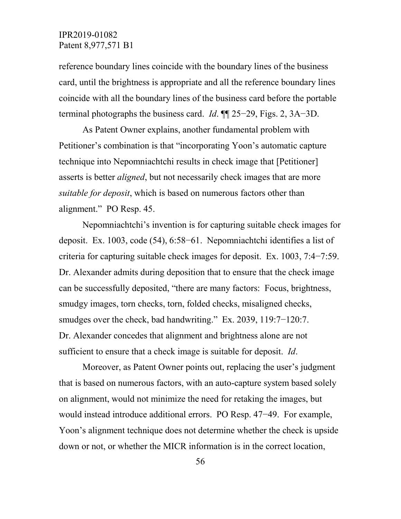reference boundary lines coincide with the boundary lines of the business card, until the brightness is appropriate and all the reference boundary lines coincide with all the boundary lines of the business card before the portable terminal photographs the business card. *Id*. ¶¶ 25−29, Figs. 2, 3A−3D.

As Patent Owner explains, another fundamental problem with Petitioner's combination is that "incorporating Yoon's automatic capture technique into Nepomniachtchi results in check image that [Petitioner] asserts is better *aligned*, but not necessarily check images that are more *suitable for deposit*, which is based on numerous factors other than alignment." PO Resp. 45.

Nepomniachtchi's invention is for capturing suitable check images for deposit. Ex. 1003, code (54), 6:58−61. Nepomniachtchi identifies a list of criteria for capturing suitable check images for deposit. Ex. 1003, 7:4−7:59. Dr. Alexander admits during deposition that to ensure that the check image can be successfully deposited, "there are many factors: Focus, brightness, smudgy images, torn checks, torn, folded checks, misaligned checks, smudges over the check, bad handwriting." Ex. 2039, 119:7-120:7. Dr. Alexander concedes that alignment and brightness alone are not sufficient to ensure that a check image is suitable for deposit. *Id*.

Moreover, as Patent Owner points out, replacing the user's judgment that is based on numerous factors, with an auto-capture system based solely on alignment, would not minimize the need for retaking the images, but would instead introduce additional errors. PO Resp. 47−49. For example, Yoon's alignment technique does not determine whether the check is upside down or not, or whether the MICR information is in the correct location,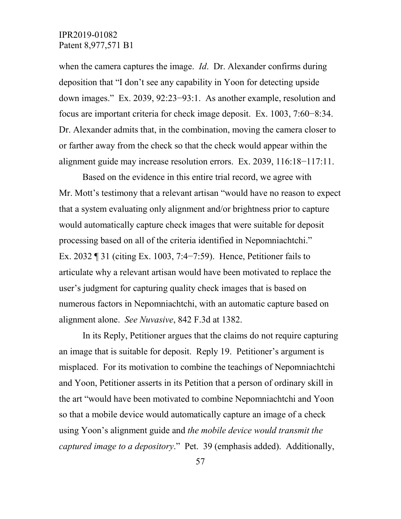when the camera captures the image. *Id*. Dr. Alexander confirms during deposition that "I don't see any capability in Yoon for detecting upside down images." Ex. 2039, 92:23−93:1. As another example, resolution and focus are important criteria for check image deposit. Ex. 1003, 7:60−8:34. Dr. Alexander admits that, in the combination, moving the camera closer to or farther away from the check so that the check would appear within the alignment guide may increase resolution errors. Ex. 2039, 116:18−117:11.

Based on the evidence in this entire trial record, we agree with Mr. Mott's testimony that a relevant artisan "would have no reason to expect that a system evaluating only alignment and/or brightness prior to capture would automatically capture check images that were suitable for deposit processing based on all of the criteria identified in Nepomniachtchi." Ex. 2032 ¶ 31 (citing Ex. 1003, 7:4−7:59). Hence, Petitioner fails to articulate why a relevant artisan would have been motivated to replace the user's judgment for capturing quality check images that is based on numerous factors in Nepomniachtchi, with an automatic capture based on alignment alone. *See Nuvasive*, 842 F.3d at 1382.

In its Reply, Petitioner argues that the claims do not require capturing an image that is suitable for deposit. Reply 19. Petitioner's argument is misplaced. For its motivation to combine the teachings of Nepomniachtchi and Yoon, Petitioner asserts in its Petition that a person of ordinary skill in the art "would have been motivated to combine Nepomniachtchi and Yoon so that a mobile device would automatically capture an image of a check using Yoon's alignment guide and *the mobile device would transmit the captured image to a depository*." Pet. 39 (emphasis added). Additionally,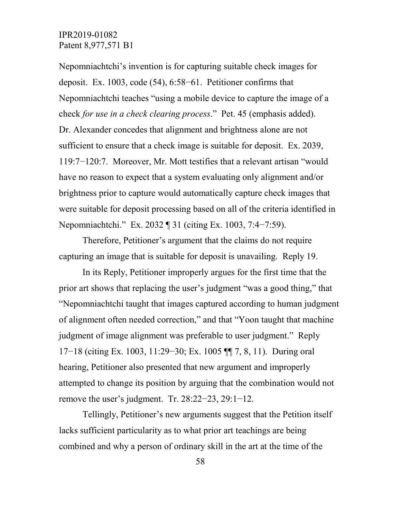Nepomniachtchi's invention is for capturing suitable check images for deposit. Ex. 1003, code (54), 6:58−61. Petitioner confirms that Nepomniachtchi teaches "using a mobile device to capture the image of a check *for use in a check clearing process*." Pet. 45 (emphasis added). Dr. Alexander concedes that alignment and brightness alone are not sufficient to ensure that a check image is suitable for deposit. Ex. 2039, 119:7−120:7. Moreover, Mr. Mott testifies that a relevant artisan "would have no reason to expect that a system evaluating only alignment and/or brightness prior to capture would automatically capture check images that were suitable for deposit processing based on all of the criteria identified in Nepomniachtchi." Ex. 2032 ¶ 31 (citing Ex. 1003, 7:4–7:59).

Therefore, Petitioner's argument that the claims do not require capturing an image that is suitable for deposit is unavailing. Reply 19.

In its Reply, Petitioner improperly argues for the first time that the prior art shows that replacing the user's judgment "was a good thing," that "Nepomniachtchi taught that images captured according to human judgment of alignment often needed correction," and that "Yoon taught that machine judgment of image alignment was preferable to user judgment." Reply 17−18 (citing Ex. 1003, 11:29−30; Ex. 1005 ¶¶ 7, 8, 11). During oral hearing, Petitioner also presented that new argument and improperly attempted to change its position by arguing that the combination would not remove the user's judgment. Tr. 28:22−23, 29:1−12.

Tellingly, Petitioner's new arguments suggest that the Petition itself lacks sufficient particularity as to what prior art teachings are being combined and why a person of ordinary skill in the art at the time of the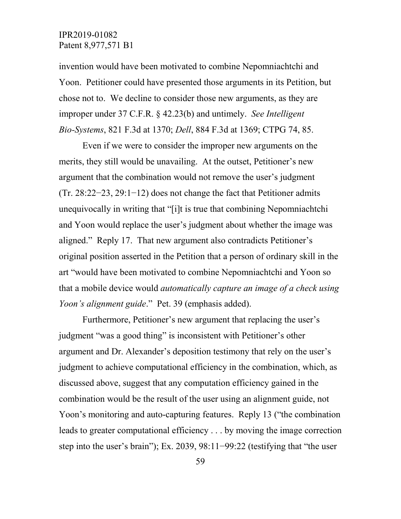invention would have been motivated to combine Nepomniachtchi and Yoon. Petitioner could have presented those arguments in its Petition, but chose not to. We decline to consider those new arguments, as they are improper under 37 C.F.R. § 42.23(b) and untimely. *See Intelligent Bio-Systems*, 821 F.3d at 1370; *Dell*, 884 F.3d at 1369; CTPG 74, 85.

Even if we were to consider the improper new arguments on the merits, they still would be unavailing. At the outset, Petitioner's new argument that the combination would not remove the user's judgment (Tr. 28:22−23, 29:1−12) does not change the fact that Petitioner admits unequivocally in writing that "[i]t is true that combining Nepomniachtchi and Yoon would replace the user's judgment about whether the image was aligned." Reply 17. That new argument also contradicts Petitioner's original position asserted in the Petition that a person of ordinary skill in the art "would have been motivated to combine Nepomniachtchi and Yoon so that a mobile device would *automatically capture an image of a check using Yoon's alignment guide*." Pet. 39 (emphasis added).

Furthermore, Petitioner's new argument that replacing the user's judgment "was a good thing" is inconsistent with Petitioner's other argument and Dr. Alexander's deposition testimony that rely on the user's judgment to achieve computational efficiency in the combination, which, as discussed above, suggest that any computation efficiency gained in the combination would be the result of the user using an alignment guide, not Yoon's monitoring and auto-capturing features. Reply 13 ("the combination leads to greater computational efficiency . . . by moving the image correction step into the user's brain"); Ex. 2039, 98:11−99:22 (testifying that "the user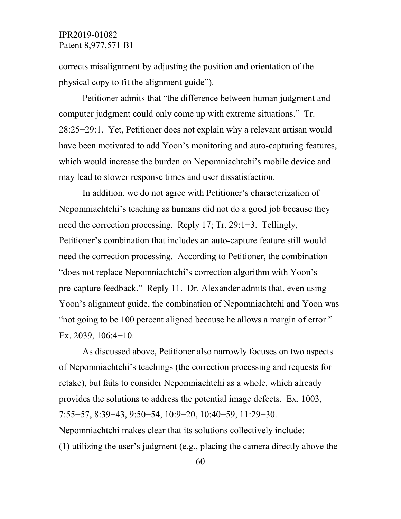corrects misalignment by adjusting the position and orientation of the physical copy to fit the alignment guide").

Petitioner admits that "the difference between human judgment and computer judgment could only come up with extreme situations." Tr. 28:25−29:1. Yet, Petitioner does not explain why a relevant artisan would have been motivated to add Yoon's monitoring and auto-capturing features, which would increase the burden on Nepomniachtchi's mobile device and may lead to slower response times and user dissatisfaction.

In addition, we do not agree with Petitioner's characterization of Nepomniachtchi's teaching as humans did not do a good job because they need the correction processing. Reply 17; Tr. 29:1−3. Tellingly, Petitioner's combination that includes an auto-capture feature still would need the correction processing. According to Petitioner, the combination "does not replace Nepomniachtchi's correction algorithm with Yoon's pre-capture feedback." Reply 11. Dr. Alexander admits that, even using Yoon's alignment guide, the combination of Nepomniachtchi and Yoon was "not going to be 100 percent aligned because he allows a margin of error." Ex. 2039, 106:4−10.

As discussed above, Petitioner also narrowly focuses on two aspects of Nepomniachtchi's teachings (the correction processing and requests for retake), but fails to consider Nepomniachtchi as a whole, which already provides the solutions to address the potential image defects. Ex. 1003, 7:55−57, 8:39−43, 9:50−54, 10:9−20, 10:40−59, 11:29−30. Nepomniachtchi makes clear that its solutions collectively include: (1) utilizing the user's judgment (e.g., placing the camera directly above the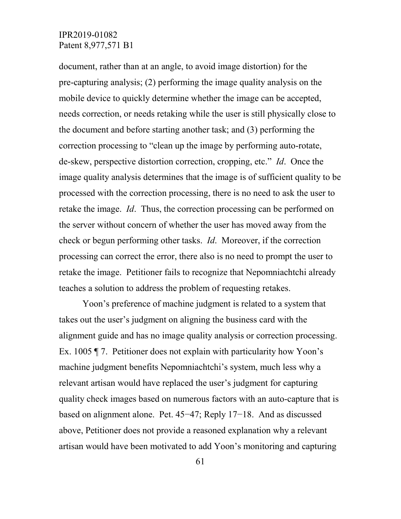document, rather than at an angle, to avoid image distortion) for the pre-capturing analysis; (2) performing the image quality analysis on the mobile device to quickly determine whether the image can be accepted, needs correction, or needs retaking while the user is still physically close to the document and before starting another task; and (3) performing the correction processing to "clean up the image by performing auto-rotate, de-skew, perspective distortion correction, cropping, etc." *Id*. Once the image quality analysis determines that the image is of sufficient quality to be processed with the correction processing, there is no need to ask the user to retake the image. *Id*. Thus, the correction processing can be performed on the server without concern of whether the user has moved away from the check or begun performing other tasks. *Id*. Moreover, if the correction processing can correct the error, there also is no need to prompt the user to retake the image. Petitioner fails to recognize that Nepomniachtchi already teaches a solution to address the problem of requesting retakes.

Yoon's preference of machine judgment is related to a system that takes out the user's judgment on aligning the business card with the alignment guide and has no image quality analysis or correction processing. Ex. 1005 ¶ 7. Petitioner does not explain with particularity how Yoon's machine judgment benefits Nepomniachtchi's system, much less why a relevant artisan would have replaced the user's judgment for capturing quality check images based on numerous factors with an auto-capture that is based on alignment alone. Pet. 45−47; Reply 17−18. And as discussed above, Petitioner does not provide a reasoned explanation why a relevant artisan would have been motivated to add Yoon's monitoring and capturing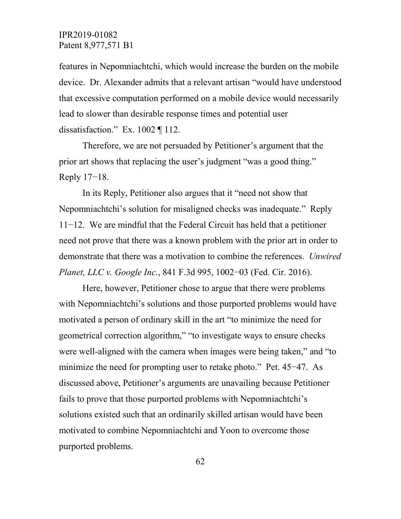features in Nepomniachtchi, which would increase the burden on the mobile device. Dr. Alexander admits that a relevant artisan "would have understood that excessive computation performed on a mobile device would necessarily lead to slower than desirable response times and potential user dissatisfaction." Ex. 1002 ¶ 112.

Therefore, we are not persuaded by Petitioner's argument that the prior art shows that replacing the user's judgment "was a good thing." Reply 17−18.

In its Reply, Petitioner also argues that it "need not show that Nepomniachtchi's solution for misaligned checks was inadequate." Reply 11−12. We are mindful that the Federal Circuit has held that a petitioner need not prove that there was a known problem with the prior art in order to demonstrate that there was a motivation to combine the references. *Unwired Planet, LLC v. Google Inc.*, 841 F.3d 995, 1002−03 (Fed. Cir. 2016).

Here, however, Petitioner chose to argue that there were problems with Nepomniachtchi's solutions and those purported problems would have motivated a person of ordinary skill in the art "to minimize the need for geometrical correction algorithm," "to investigate ways to ensure checks were well-aligned with the camera when images were being taken," and "to minimize the need for prompting user to retake photo." Pet. 45−47. As discussed above, Petitioner's arguments are unavailing because Petitioner fails to prove that those purported problems with Nepomniachtchi's solutions existed such that an ordinarily skilled artisan would have been motivated to combine Nepomniachtchi and Yoon to overcome those purported problems.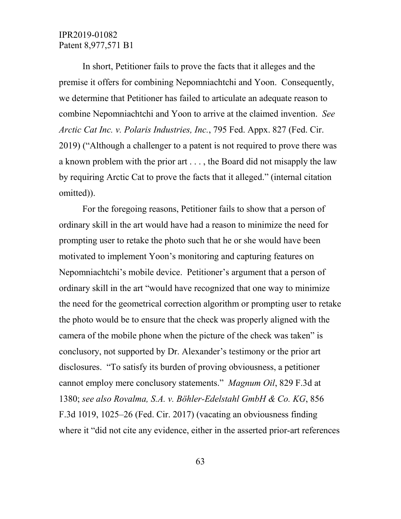In short, Petitioner fails to prove the facts that it alleges and the premise it offers for combining Nepomniachtchi and Yoon. Consequently, we determine that Petitioner has failed to articulate an adequate reason to combine Nepomniachtchi and Yoon to arrive at the claimed invention. *See Arctic Cat Inc. v. Polaris Industries, Inc.*, 795 Fed. Appx. 827 (Fed. Cir. 2019) ("Although a challenger to a patent is not required to prove there was a known problem with the prior art . . . , the Board did not misapply the law by requiring Arctic Cat to prove the facts that it alleged." (internal citation omitted)).

For the foregoing reasons, Petitioner fails to show that a person of ordinary skill in the art would have had a reason to minimize the need for prompting user to retake the photo such that he or she would have been motivated to implement Yoon's monitoring and capturing features on Nepomniachtchi's mobile device. Petitioner's argument that a person of ordinary skill in the art "would have recognized that one way to minimize the need for the geometrical correction algorithm or prompting user to retake the photo would be to ensure that the check was properly aligned with the camera of the mobile phone when the picture of the check was taken" is conclusory, not supported by Dr. Alexander's testimony or the prior art disclosures. "To satisfy its burden of proving obviousness, a petitioner cannot employ mere conclusory statements." *Magnum Oil*, 829 F.3d at 1380; *see also Rovalma, S.A. v. Böhler-Edelstahl GmbH & Co. KG*, 856 F.3d 1019, 1025–26 (Fed. Cir. 2017) (vacating an obviousness finding where it "did not cite any evidence, either in the asserted prior-art references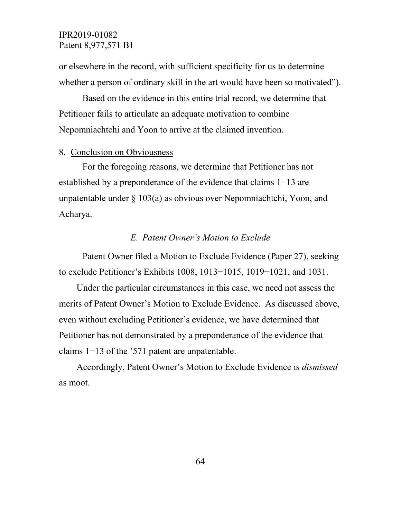or elsewhere in the record, with sufficient specificity for us to determine whether a person of ordinary skill in the art would have been so motivated").

Based on the evidence in this entire trial record, we determine that Petitioner fails to articulate an adequate motivation to combine Nepomniachtchi and Yoon to arrive at the claimed invention.

#### 8. Conclusion on Obviousness

For the foregoing reasons, we determine that Petitioner has not established by a preponderance of the evidence that claims 1−13 are unpatentable under  $\S 103(a)$  as obvious over Nepomniachtchi, Yoon, and Acharya.

#### *E. Patent Owner's Motion to Exclude*

Patent Owner filed a Motion to Exclude Evidence (Paper 27), seeking to exclude Petitioner's Exhibits 1008, 1013−1015, 1019−1021, and 1031.

Under the particular circumstances in this case, we need not assess the merits of Patent Owner's Motion to Exclude Evidence. As discussed above, even without excluding Petitioner's evidence, we have determined that Petitioner has not demonstrated by a preponderance of the evidence that claims 1−13 of the '571 patent are unpatentable.

Accordingly, Patent Owner's Motion to Exclude Evidence is *dismissed*  as moot.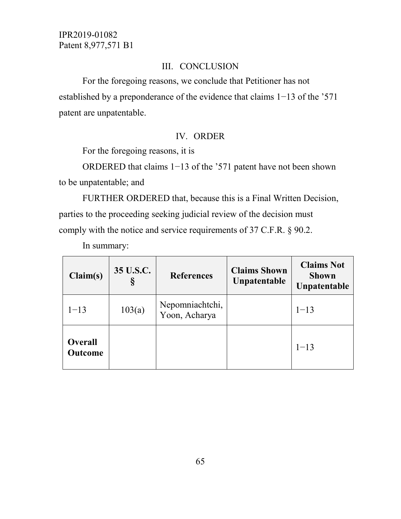### III. CONCLUSION

For the foregoing reasons, we conclude that Petitioner has not established by a preponderance of the evidence that claims 1−13 of the '571 patent are unpatentable.

#### IV. ORDER

For the foregoing reasons, it is

ORDERED that claims 1−13 of the '571 patent have not been shown to be unpatentable; and

FURTHER ORDERED that, because this is a Final Written Decision, parties to the proceeding seeking judicial review of the decision must comply with the notice and service requirements of 37 C.F.R. § 90.2.

In summary:

| Claim(s)                         | 35 U.S.C. | <b>References</b>                | <b>Claims Shown</b><br>Unpatentable | <b>Claims Not</b><br><b>Shown</b><br>Unpatentable |
|----------------------------------|-----------|----------------------------------|-------------------------------------|---------------------------------------------------|
| $1 - 13$                         | 103(a)    | Nepomniachtchi,<br>Yoon, Acharya |                                     | $1 - 13$                                          |
| <b>Overall</b><br><b>Outcome</b> |           |                                  |                                     | $1 - 13$                                          |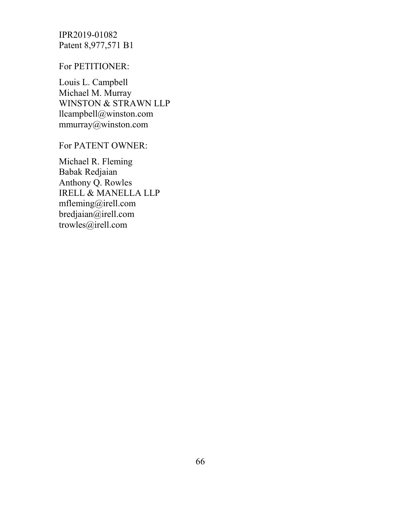For PETITIONER:

Louis L. Campbell Michael M. Murray WINSTON & STRAWN LLP llcampbell@winston.com mmurray@winston.com

For PATENT OWNER:

Michael R. Fleming Babak Redjaian Anthony Q. Rowles IRELL & MANELLA LLP mfleming@irell.com bredjaian@irell.com trowles@irell.com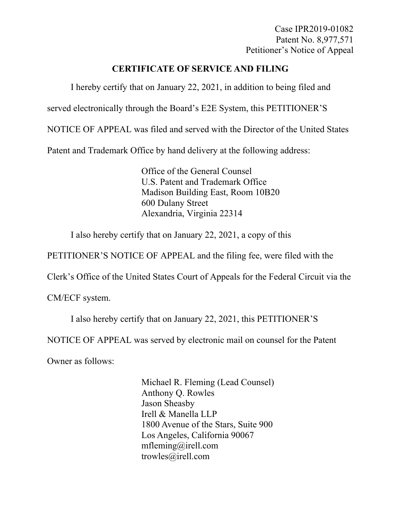Case IPR2019-01082 Patent No. 8,977,571 Petitioner's Notice of Appeal

# **CERTIFICATE OF SERVICE AND FILING**

I hereby certify that on January 22, 2021, in addition to being filed and

served electronically through the Board's E2E System, this PETITIONER'S

NOTICE OF APPEAL was filed and served with the Director of the United States

Patent and Trademark Office by hand delivery at the following address:

Office of the General Counsel U.S. Patent and Trademark Office Madison Building East, Room 10B20 600 Dulany Street Alexandria, Virginia 22314

I also hereby certify that on January 22, 2021, a copy of this

PETITIONER'S NOTICE OF APPEAL and the filing fee, were filed with the

Clerk's Office of the United States Court of Appeals for the Federal Circuit via the

CM/ECF system.

I also hereby certify that on January 22, 2021, this PETITIONER'S

NOTICE OF APPEAL was served by electronic mail on counsel for the Patent

Owner as follows:

Michael R. Fleming (Lead Counsel) Anthony Q. Rowles Jason Sheasby Irell & Manella LLP 1800 Avenue of the Stars, Suite 900 Los Angeles, California 90067 mfleming@irell.com trowles@irell.com